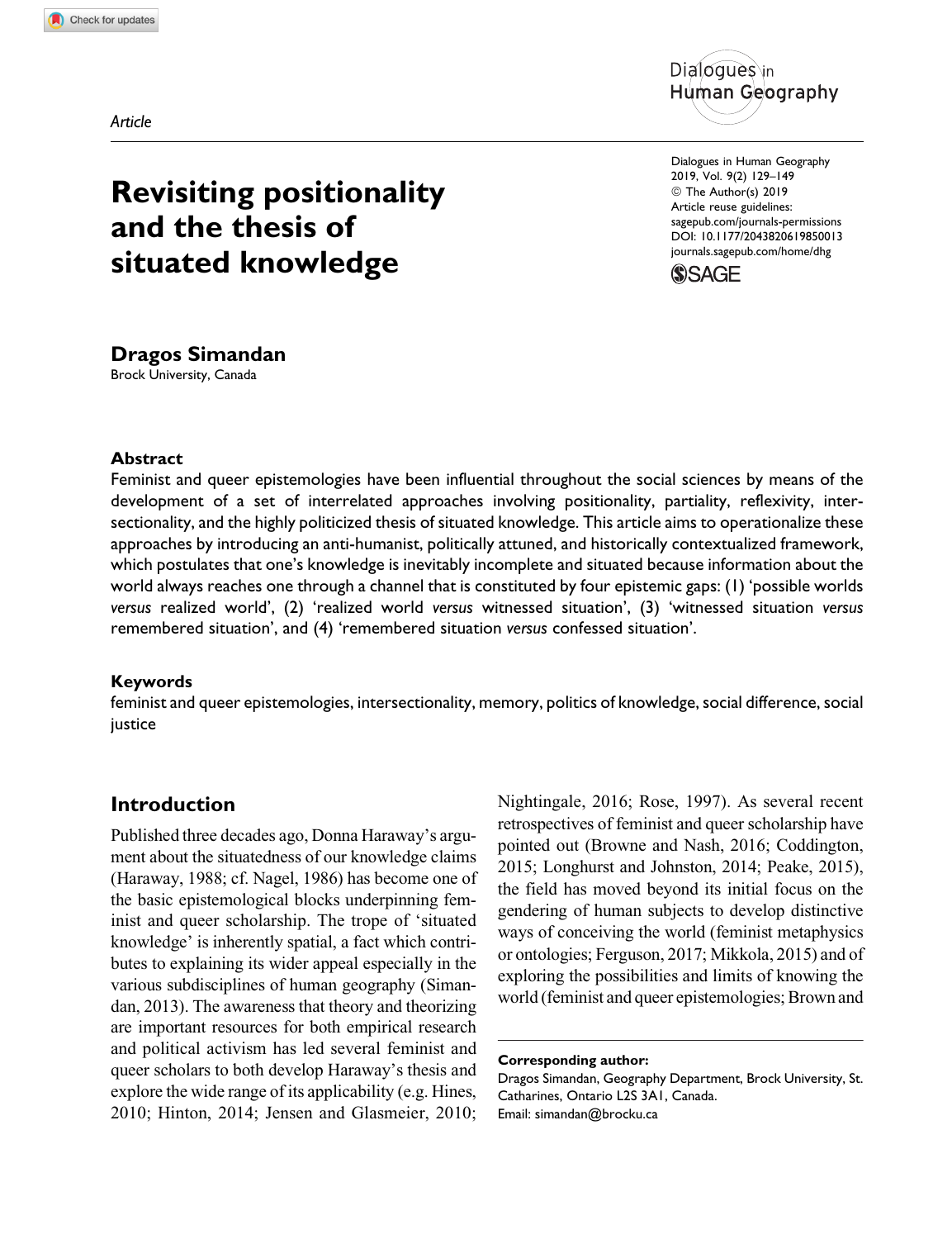Article

# Revisiting positionality and the thesis of situated knowledge

han Ge ography

Dialogues in Human Geography 2019, Vol. 9(2) 129–149 © The Author(s) 2019 Article reuse guidelines: [sagepub.com/journals-permissions](https://sagepub.com/journals-permissions) [DOI: 10.1177/2043820619850013](https://doi.org/10.1177/2043820619850013) [journals.sagepub.com/home/dhg](http://journals.sagepub.com/home/dhg)



## Dragos Simandan

Brock University, Canada

#### Abstract

Feminist and queer epistemologies have been influential throughout the social sciences by means of the development of a set of interrelated approaches involving positionality, partiality, reflexivity, intersectionality, and the highly politicized thesis of situated knowledge. This article aims to operationalize these approaches by introducing an anti-humanist, politically attuned, and historically contextualized framework, which postulates that one's knowledge is inevitably incomplete and situated because information about the world always reaches one through a channel that is constituted by four epistemic gaps: (1) 'possible worlds versus realized world', (2) 'realized world versus witnessed situation', (3) 'witnessed situation versus remembered situation', and (4) 'remembered situation versus confessed situation'.

#### Keywords

feminist and queer epistemologies, intersectionality, memory, politics of knowledge, social difference, social justice

### Introduction

Published three decades ago, Donna Haraway's argument about the situatedness of our knowledge claims (Haraway, 1988; cf. Nagel, 1986) has become one of the basic epistemological blocks underpinning feminist and queer scholarship. The trope of 'situated knowledge' is inherently spatial, a fact which contributes to explaining its wider appeal especially in the various subdisciplines of human geography (Simandan, 2013). The awareness that theory and theorizing are important resources for both empirical research and political activism has led several feminist and queer scholars to both develop Haraway's thesis and explore the wide range of its applicability (e.g. Hines, 2010; Hinton, 2014; Jensen and Glasmeier, 2010;

Nightingale, 2016; Rose, 1997). As several recent retrospectives of feminist and queer scholarship have pointed out (Browne and Nash, 2016; Coddington, 2015; Longhurst and Johnston, 2014; Peake, 2015), the field has moved beyond its initial focus on the gendering of human subjects to develop distinctive ways of conceiving the world (feminist metaphysics or ontologies; Ferguson, 2017; Mikkola, 2015) and of exploring the possibilities and limits of knowing the world (feminist and queer epistemologies; Brown and

Dragos Simandan, Geography Department, Brock University, St. Catharines, Ontario L2S 3A1, Canada. Email: [simandan@brocku.ca](mailto:simandan@brocku.ca)

Corresponding author: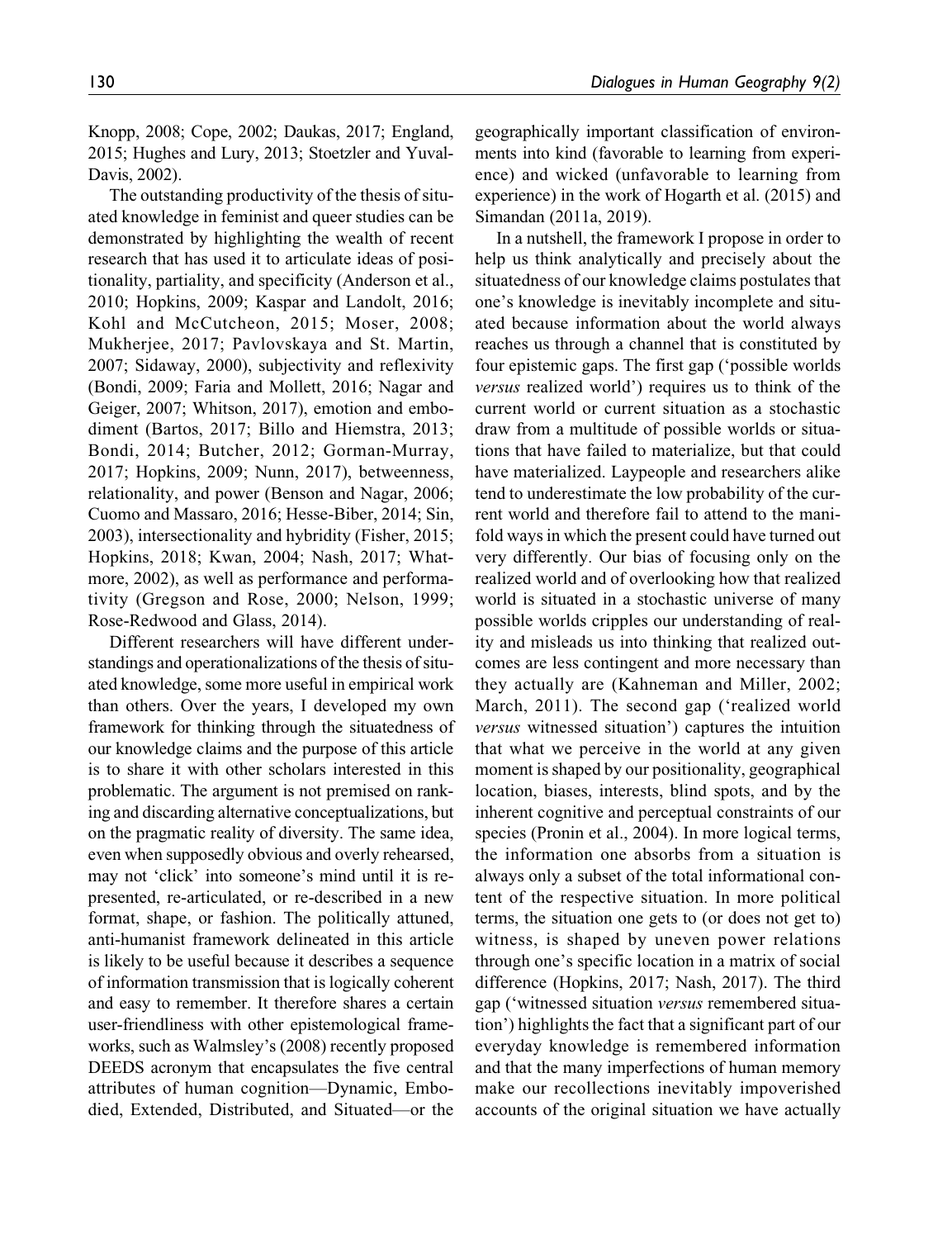Knopp, 2008; Cope, 2002; Daukas, 2017; England, 2015; Hughes and Lury, 2013; Stoetzler and Yuval-Davis, 2002).

The outstanding productivity of the thesis of situated knowledge in feminist and queer studies can be demonstrated by highlighting the wealth of recent research that has used it to articulate ideas of positionality, partiality, and specificity (Anderson et al., 2010; Hopkins, 2009; Kaspar and Landolt, 2016; Kohl and McCutcheon, 2015; Moser, 2008; Mukherjee, 2017; Pavlovskaya and St. Martin, 2007; Sidaway, 2000), subjectivity and reflexivity (Bondi, 2009; Faria and Mollett, 2016; Nagar and Geiger, 2007; Whitson, 2017), emotion and embodiment (Bartos, 2017; Billo and Hiemstra, 2013; Bondi, 2014; Butcher, 2012; Gorman-Murray, 2017; Hopkins, 2009; Nunn, 2017), betweenness, relationality, and power (Benson and Nagar, 2006; Cuomo and Massaro, 2016; Hesse-Biber, 2014; Sin, 2003), intersectionality and hybridity (Fisher, 2015; Hopkins, 2018; Kwan, 2004; Nash, 2017; Whatmore, 2002), as well as performance and performativity (Gregson and Rose, 2000; Nelson, 1999; Rose-Redwood and Glass, 2014).

Different researchers will have different understandings and operationalizations of the thesis of situated knowledge, some more useful in empirical work than others. Over the years, I developed my own framework for thinking through the situatedness of our knowledge claims and the purpose of this article is to share it with other scholars interested in this problematic. The argument is not premised on ranking and discarding alternative conceptualizations, but on the pragmatic reality of diversity. The same idea, even when supposedly obvious and overly rehearsed, may not 'click' into someone's mind until it is represented, re-articulated, or re-described in a new format, shape, or fashion. The politically attuned, anti-humanist framework delineated in this article is likely to be useful because it describes a sequence of information transmission that is logically coherent and easy to remember. It therefore shares a certain user-friendliness with other epistemological frameworks, such as Walmsley's (2008) recently proposed DEEDS acronym that encapsulates the five central attributes of human cognition—Dynamic, Embodied, Extended, Distributed, and Situated—or the

geographically important classification of environments into kind (favorable to learning from experience) and wicked (unfavorable to learning from experience) in the work of Hogarth et al. (2015) and Simandan (2011a, 2019).

In a nutshell, the framework I propose in order to help us think analytically and precisely about the situatedness of our knowledge claims postulates that one's knowledge is inevitably incomplete and situated because information about the world always reaches us through a channel that is constituted by four epistemic gaps. The first gap ('possible worlds versus realized world') requires us to think of the current world or current situation as a stochastic draw from a multitude of possible worlds or situations that have failed to materialize, but that could have materialized. Laypeople and researchers alike tend to underestimate the low probability of the current world and therefore fail to attend to the manifold ways in which the present could have turned out very differently. Our bias of focusing only on the realized world and of overlooking how that realized world is situated in a stochastic universe of many possible worlds cripples our understanding of reality and misleads us into thinking that realized outcomes are less contingent and more necessary than they actually are (Kahneman and Miller, 2002; March, 2011). The second gap ('realized world versus witnessed situation') captures the intuition that what we perceive in the world at any given moment is shaped by our positionality, geographical location, biases, interests, blind spots, and by the inherent cognitive and perceptual constraints of our species (Pronin et al., 2004). In more logical terms, the information one absorbs from a situation is always only a subset of the total informational content of the respective situation. In more political terms, the situation one gets to (or does not get to) witness, is shaped by uneven power relations through one's specific location in a matrix of social difference (Hopkins, 2017; Nash, 2017). The third gap ('witnessed situation versus remembered situation') highlights the fact that a significant part of our everyday knowledge is remembered information and that the many imperfections of human memory make our recollections inevitably impoverished accounts of the original situation we have actually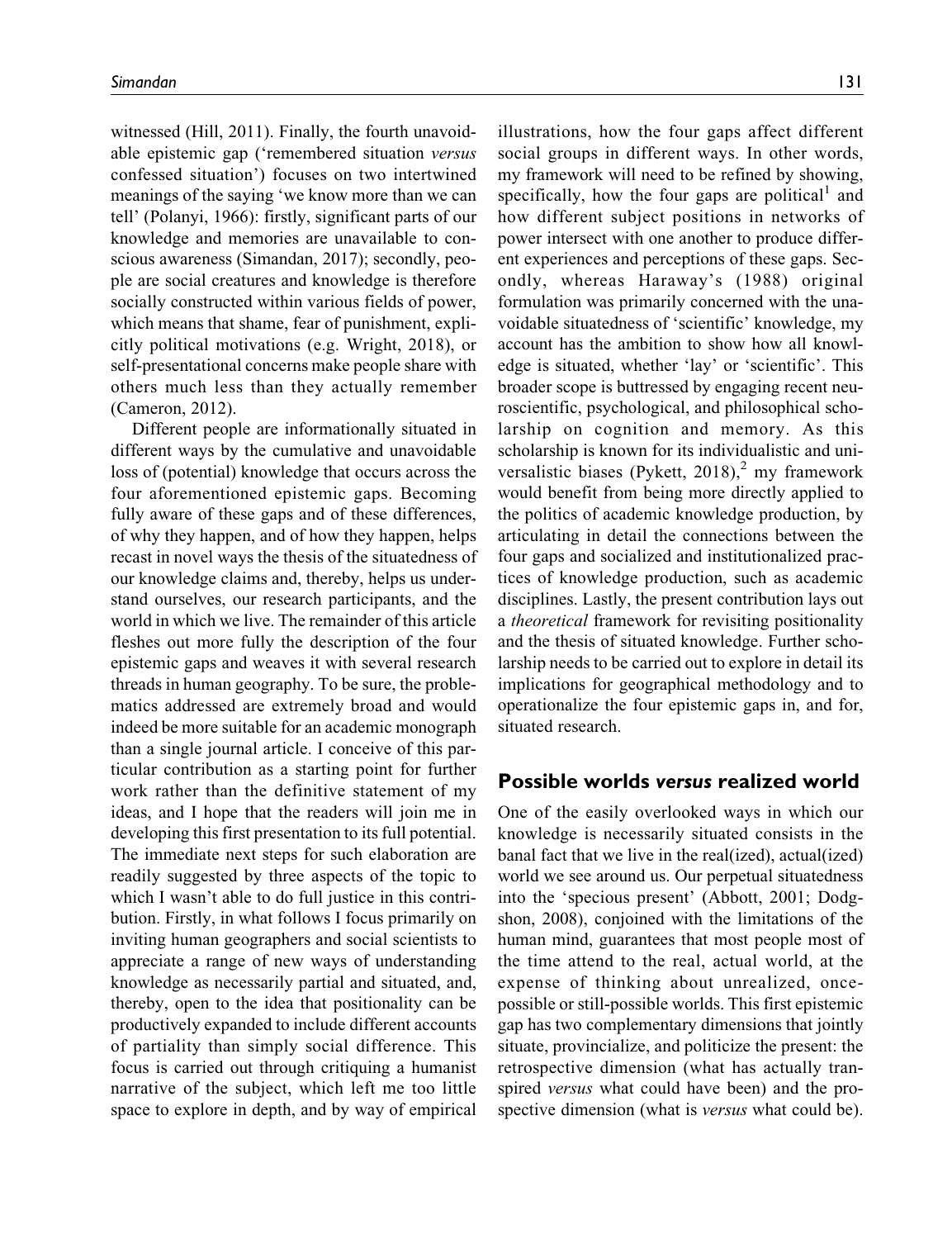witnessed (Hill, 2011). Finally, the fourth unavoidable epistemic gap ('remembered situation versus confessed situation') focuses on two intertwined meanings of the saying 'we know more than we can tell' (Polanyi, 1966): firstly, significant parts of our knowledge and memories are unavailable to conscious awareness (Simandan, 2017); secondly, people are social creatures and knowledge is therefore socially constructed within various fields of power, which means that shame, fear of punishment, explicitly political motivations (e.g. Wright, 2018), or self-presentational concerns make people share with others much less than they actually remember (Cameron, 2012).

Different people are informationally situated in different ways by the cumulative and unavoidable loss of (potential) knowledge that occurs across the four aforementioned epistemic gaps. Becoming fully aware of these gaps and of these differences, of why they happen, and of how they happen, helps recast in novel ways the thesis of the situatedness of our knowledge claims and, thereby, helps us understand ourselves, our research participants, and the world in which we live. The remainder of this article fleshes out more fully the description of the four epistemic gaps and weaves it with several research threads in human geography. To be sure, the problematics addressed are extremely broad and would indeed be more suitable for an academic monograph than a single journal article. I conceive of this particular contribution as a starting point for further work rather than the definitive statement of my ideas, and I hope that the readers will join me in developing this first presentation to its full potential. The immediate next steps for such elaboration are readily suggested by three aspects of the topic to which I wasn't able to do full justice in this contribution. Firstly, in what follows I focus primarily on inviting human geographers and social scientists to appreciate a range of new ways of understanding knowledge as necessarily partial and situated, and, thereby, open to the idea that positionality can be productively expanded to include different accounts of partiality than simply social difference. This focus is carried out through critiquing a humanist narrative of the subject, which left me too little space to explore in depth, and by way of empirical

illustrations, how the four gaps affect different social groups in different ways. In other words, my framework will need to be refined by showing, specifically, how the four gaps are political and how different subject positions in networks of power intersect with one another to produce different experiences and perceptions of these gaps. Secondly, whereas Haraway's (1988) original formulation was primarily concerned with the unavoidable situatedness of 'scientific' knowledge, my account has the ambition to show how all knowledge is situated, whether 'lay' or 'scientific'. This broader scope is buttressed by engaging recent neuroscientific, psychological, and philosophical scholarship on cognition and memory. As this scholarship is known for its individualistic and universalistic biases (Pykett,  $2018$ ),<sup>2</sup> my framework would benefit from being more directly applied to the politics of academic knowledge production, by articulating in detail the connections between the four gaps and socialized and institutionalized practices of knowledge production, such as academic disciplines. Lastly, the present contribution lays out a theoretical framework for revisiting positionality and the thesis of situated knowledge. Further scholarship needs to be carried out to explore in detail its implications for geographical methodology and to operationalize the four epistemic gaps in, and for, situated research.

### Possible worlds versus realized world

One of the easily overlooked ways in which our knowledge is necessarily situated consists in the banal fact that we live in the real(ized), actual(ized) world we see around us. Our perpetual situatedness into the 'specious present' (Abbott, 2001; Dodgshon, 2008), conjoined with the limitations of the human mind, guarantees that most people most of the time attend to the real, actual world, at the expense of thinking about unrealized, oncepossible or still-possible worlds. This first epistemic gap has two complementary dimensions that jointly situate, provincialize, and politicize the present: the retrospective dimension (what has actually transpired versus what could have been) and the prospective dimension (what is *versus* what could be).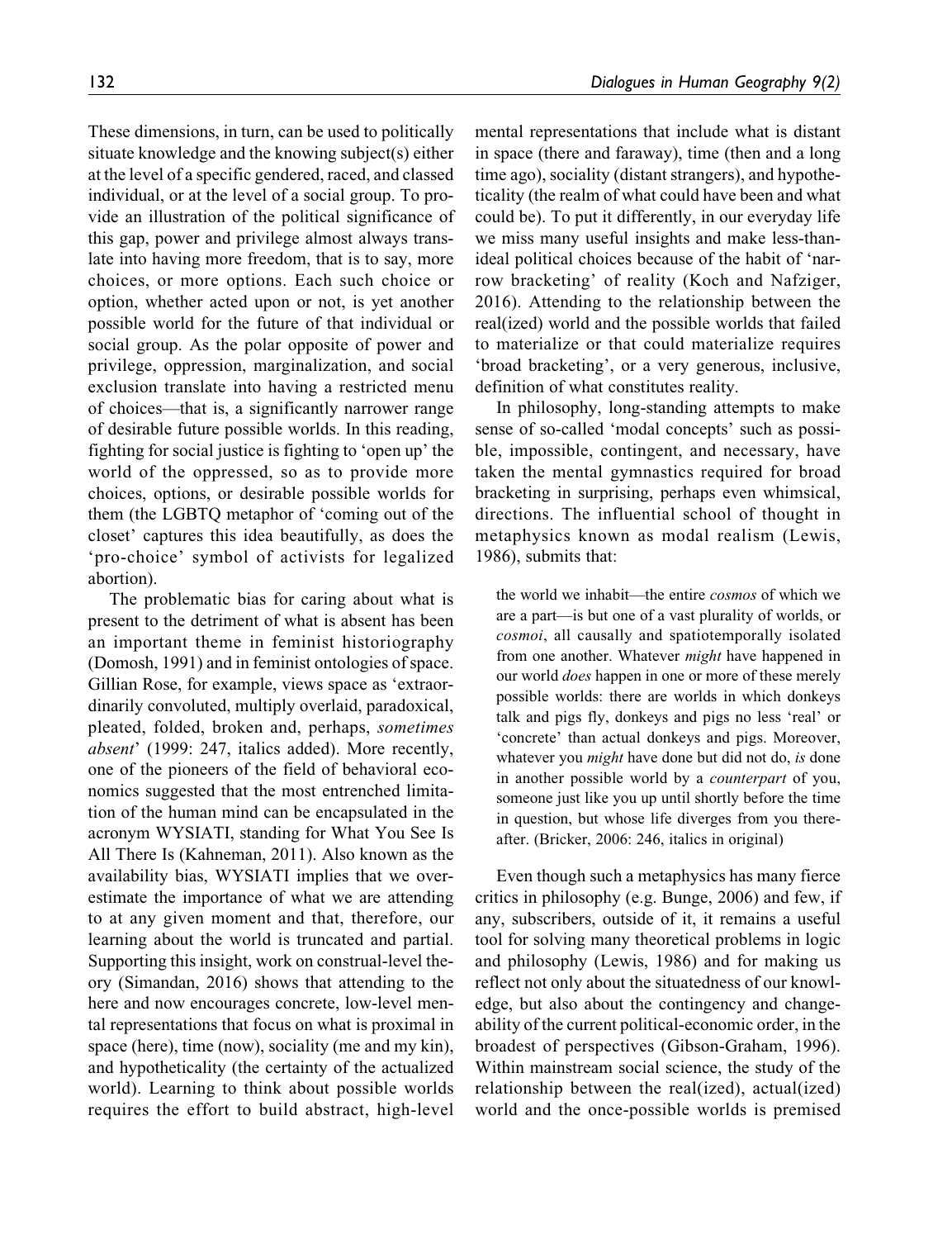These dimensions, in turn, can be used to politically situate knowledge and the knowing subject(s) either at the level of a specific gendered, raced, and classed individual, or at the level of a social group. To provide an illustration of the political significance of this gap, power and privilege almost always translate into having more freedom, that is to say, more choices, or more options. Each such choice or option, whether acted upon or not, is yet another possible world for the future of that individual or social group. As the polar opposite of power and privilege, oppression, marginalization, and social exclusion translate into having a restricted menu of choices—that is, a significantly narrower range of desirable future possible worlds. In this reading, fighting for social justice is fighting to 'open up' the world of the oppressed, so as to provide more choices, options, or desirable possible worlds for them (the LGBTQ metaphor of 'coming out of the closet' captures this idea beautifully, as does the 'pro-choice' symbol of activists for legalized abortion).

The problematic bias for caring about what is present to the detriment of what is absent has been an important theme in feminist historiography (Domosh, 1991) and in feminist ontologies of space. Gillian Rose, for example, views space as 'extraordinarily convoluted, multiply overlaid, paradoxical, pleated, folded, broken and, perhaps, sometimes absent' (1999: 247, italics added). More recently, one of the pioneers of the field of behavioral economics suggested that the most entrenched limitation of the human mind can be encapsulated in the acronym WYSIATI, standing for What You See Is All There Is (Kahneman, 2011). Also known as the availability bias, WYSIATI implies that we overestimate the importance of what we are attending to at any given moment and that, therefore, our learning about the world is truncated and partial. Supporting this insight, work on construal-level theory (Simandan, 2016) shows that attending to the here and now encourages concrete, low-level mental representations that focus on what is proximal in space (here), time (now), sociality (me and my kin), and hypotheticality (the certainty of the actualized world). Learning to think about possible worlds requires the effort to build abstract, high-level mental representations that include what is distant in space (there and faraway), time (then and a long time ago), sociality (distant strangers), and hypotheticality (the realm of what could have been and what could be). To put it differently, in our everyday life we miss many useful insights and make less-thanideal political choices because of the habit of 'narrow bracketing' of reality (Koch and Nafziger, 2016). Attending to the relationship between the real(ized) world and the possible worlds that failed to materialize or that could materialize requires 'broad bracketing', or a very generous, inclusive, definition of what constitutes reality.

In philosophy, long-standing attempts to make sense of so-called 'modal concepts' such as possible, impossible, contingent, and necessary, have taken the mental gymnastics required for broad bracketing in surprising, perhaps even whimsical, directions. The influential school of thought in metaphysics known as modal realism (Lewis, 1986), submits that:

the world we inhabit—the entire cosmos of which we are a part—is but one of a vast plurality of worlds, or cosmoi, all causally and spatiotemporally isolated from one another. Whatever might have happened in our world does happen in one or more of these merely possible worlds: there are worlds in which donkeys talk and pigs fly, donkeys and pigs no less 'real' or 'concrete' than actual donkeys and pigs. Moreover, whatever you *might* have done but did not do, is done in another possible world by a counterpart of you, someone just like you up until shortly before the time in question, but whose life diverges from you thereafter. (Bricker, 2006: 246, italics in original)

Even though such a metaphysics has many fierce critics in philosophy (e.g. Bunge, 2006) and few, if any, subscribers, outside of it, it remains a useful tool for solving many theoretical problems in logic and philosophy (Lewis, 1986) and for making us reflect not only about the situatedness of our knowledge, but also about the contingency and changeability of the current political-economic order, in the broadest of perspectives (Gibson-Graham, 1996). Within mainstream social science, the study of the relationship between the real(ized), actual(ized) world and the once-possible worlds is premised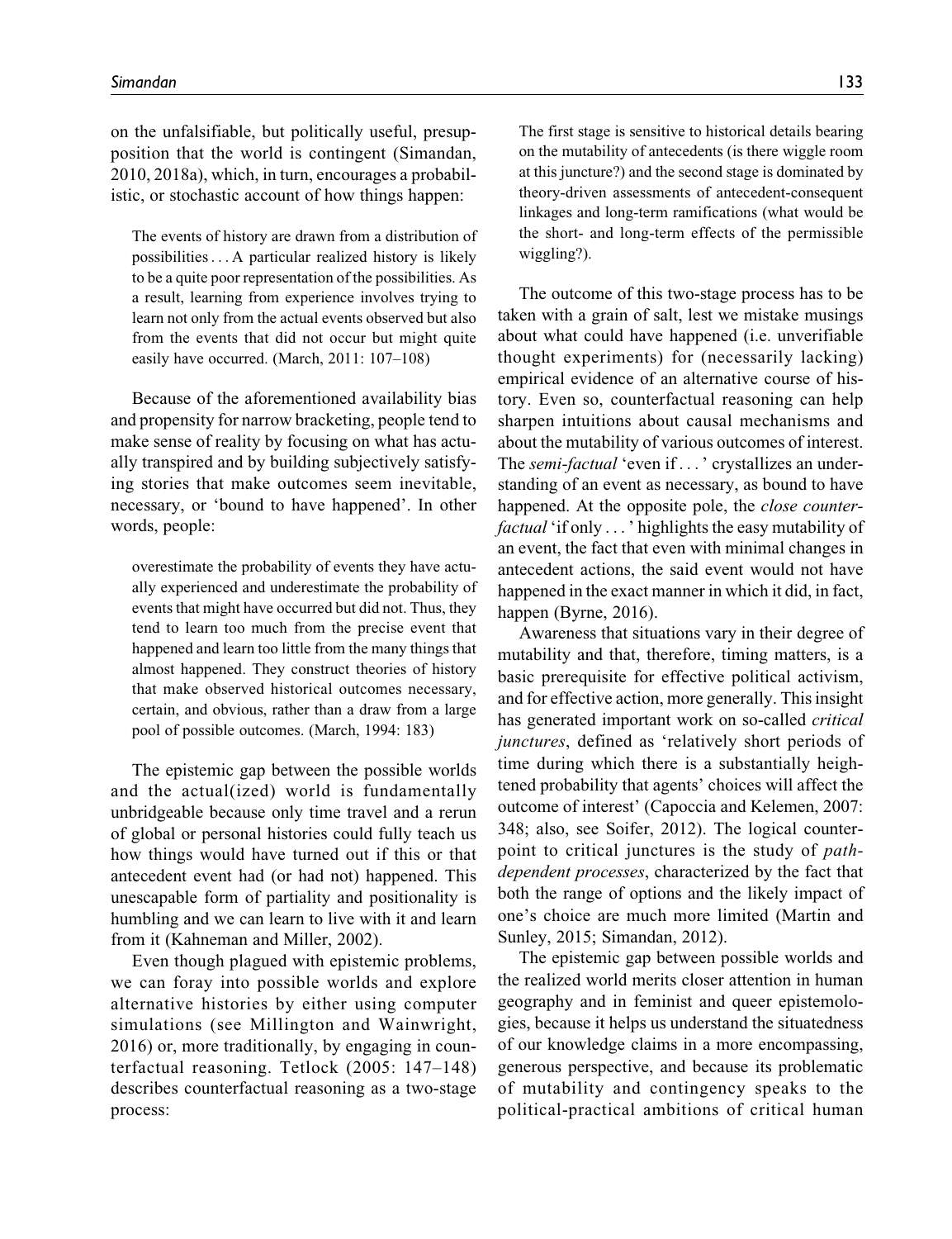on the unfalsifiable, but politically useful, presupposition that the world is contingent (Simandan, 2010, 2018a), which, in turn, encourages a probabilistic, or stochastic account of how things happen:

The events of history are drawn from a distribution of possibilities... A particular realized history is likely to be a quite poor representation of the possibilities. As a result, learning from experience involves trying to learn not only from the actual events observed but also from the events that did not occur but might quite easily have occurred. (March, 2011: 107–108)

Because of the aforementioned availability bias and propensity for narrow bracketing, people tend to make sense of reality by focusing on what has actually transpired and by building subjectively satisfying stories that make outcomes seem inevitable, necessary, or 'bound to have happened'. In other words, people:

overestimate the probability of events they have actually experienced and underestimate the probability of events that might have occurred but did not. Thus, they tend to learn too much from the precise event that happened and learn too little from the many things that almost happened. They construct theories of history that make observed historical outcomes necessary, certain, and obvious, rather than a draw from a large pool of possible outcomes. (March, 1994: 183)

The epistemic gap between the possible worlds and the actual(ized) world is fundamentally unbridgeable because only time travel and a rerun of global or personal histories could fully teach us how things would have turned out if this or that antecedent event had (or had not) happened. This unescapable form of partiality and positionality is humbling and we can learn to live with it and learn from it (Kahneman and Miller, 2002).

Even though plagued with epistemic problems, we can foray into possible worlds and explore alternative histories by either using computer simulations (see Millington and Wainwright, 2016) or, more traditionally, by engaging in counterfactual reasoning. Tetlock (2005: 147–148) describes counterfactual reasoning as a two-stage process:

The first stage is sensitive to historical details bearing on the mutability of antecedents (is there wiggle room at this juncture?) and the second stage is dominated by theory-driven assessments of antecedent-consequent linkages and long-term ramifications (what would be the short- and long-term effects of the permissible wiggling?).

The outcome of this two-stage process has to be taken with a grain of salt, lest we mistake musings about what could have happened (i.e. unverifiable thought experiments) for (necessarily lacking) empirical evidence of an alternative course of history. Even so, counterfactual reasoning can help sharpen intuitions about causal mechanisms and about the mutability of various outcomes of interest. The semi-factual 'even if ... ' crystallizes an understanding of an event as necessary, as bound to have happened. At the opposite pole, the *close counter*factual 'if only ... ' highlights the easy mutability of an event, the fact that even with minimal changes in antecedent actions, the said event would not have happened in the exact manner in which it did, in fact, happen (Byrne, 2016).

Awareness that situations vary in their degree of mutability and that, therefore, timing matters, is a basic prerequisite for effective political activism, and for effective action, more generally. This insight has generated important work on so-called critical junctures, defined as 'relatively short periods of time during which there is a substantially heightened probability that agents' choices will affect the outcome of interest' (Capoccia and Kelemen, 2007: 348; also, see Soifer, 2012). The logical counterpoint to critical junctures is the study of *path*dependent processes, characterized by the fact that both the range of options and the likely impact of one's choice are much more limited (Martin and Sunley, 2015; Simandan, 2012).

The epistemic gap between possible worlds and the realized world merits closer attention in human geography and in feminist and queer epistemologies, because it helps us understand the situatedness of our knowledge claims in a more encompassing, generous perspective, and because its problematic of mutability and contingency speaks to the political-practical ambitions of critical human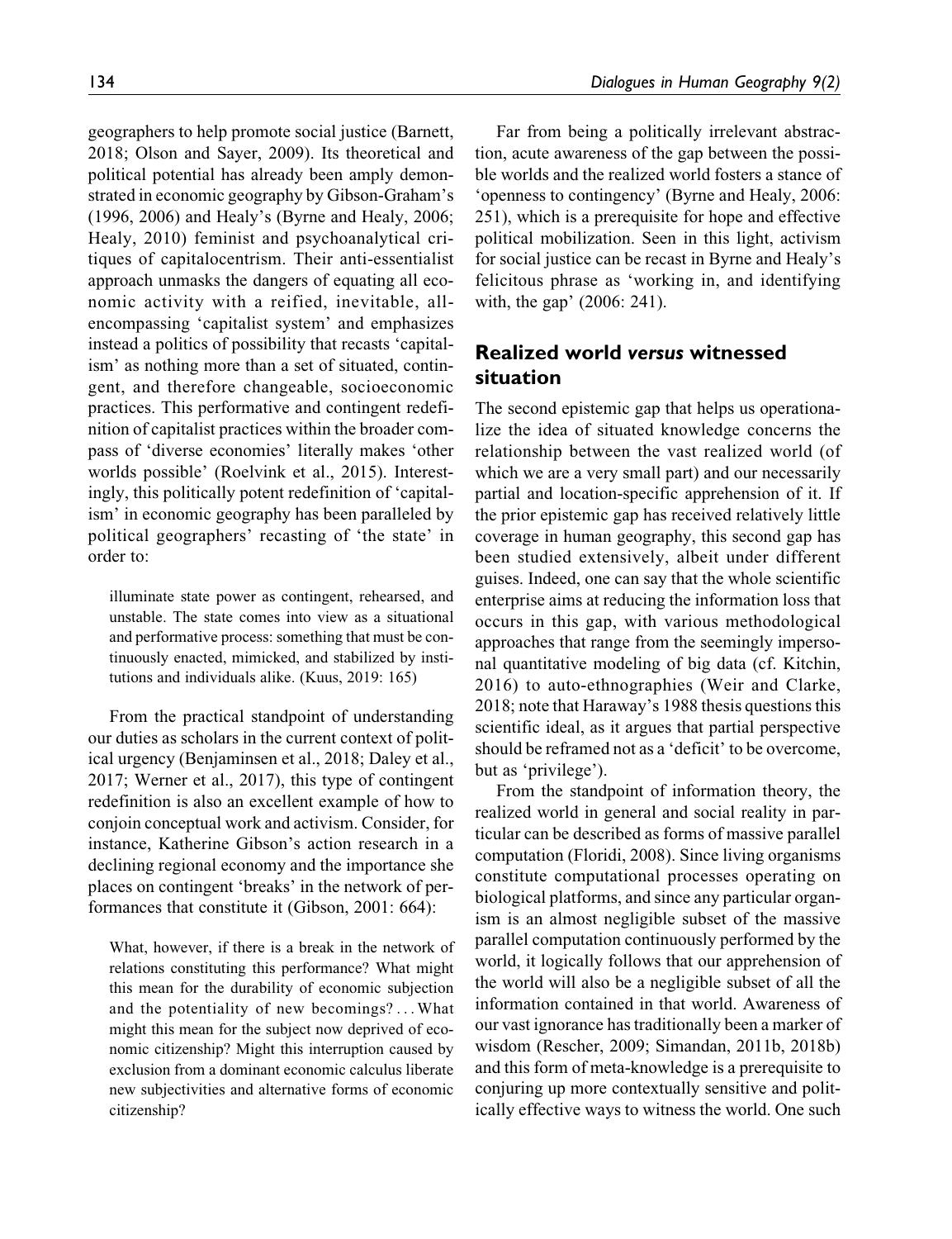geographers to help promote social justice (Barnett, 2018; Olson and Sayer, 2009). Its theoretical and political potential has already been amply demonstrated in economic geography by Gibson-Graham's (1996, 2006) and Healy's (Byrne and Healy, 2006; Healy, 2010) feminist and psychoanalytical critiques of capitalocentrism. Their anti-essentialist approach unmasks the dangers of equating all economic activity with a reified, inevitable, allencompassing 'capitalist system' and emphasizes instead a politics of possibility that recasts 'capitalism' as nothing more than a set of situated, contingent, and therefore changeable, socioeconomic practices. This performative and contingent redefinition of capitalist practices within the broader compass of 'diverse economies' literally makes 'other worlds possible' (Roelvink et al., 2015). Interestingly, this politically potent redefinition of 'capitalism' in economic geography has been paralleled by political geographers' recasting of 'the state' in order to:

illuminate state power as contingent, rehearsed, and unstable. The state comes into view as a situational and performative process: something that must be continuously enacted, mimicked, and stabilized by institutions and individuals alike. (Kuus, 2019: 165)

From the practical standpoint of understanding our duties as scholars in the current context of political urgency (Benjaminsen et al., 2018; Daley et al., 2017; Werner et al., 2017), this type of contingent redefinition is also an excellent example of how to conjoin conceptual work and activism. Consider, for instance, Katherine Gibson's action research in a declining regional economy and the importance she places on contingent 'breaks' in the network of performances that constitute it (Gibson, 2001: 664):

What, however, if there is a break in the network of relations constituting this performance? What might this mean for the durability of economic subjection and the potentiality of new becomings? ... What might this mean for the subject now deprived of economic citizenship? Might this interruption caused by exclusion from a dominant economic calculus liberate new subjectivities and alternative forms of economic citizenship?

Far from being a politically irrelevant abstraction, acute awareness of the gap between the possible worlds and the realized world fosters a stance of 'openness to contingency' (Byrne and Healy, 2006: 251), which is a prerequisite for hope and effective political mobilization. Seen in this light, activism for social justice can be recast in Byrne and Healy's felicitous phrase as 'working in, and identifying with, the gap' (2006: 241).

### Realized world versus witnessed situation

The second epistemic gap that helps us operationalize the idea of situated knowledge concerns the relationship between the vast realized world (of which we are a very small part) and our necessarily partial and location-specific apprehension of it. If the prior epistemic gap has received relatively little coverage in human geography, this second gap has been studied extensively, albeit under different guises. Indeed, one can say that the whole scientific enterprise aims at reducing the information loss that occurs in this gap, with various methodological approaches that range from the seemingly impersonal quantitative modeling of big data (cf. Kitchin, 2016) to auto-ethnographies (Weir and Clarke, 2018; note that Haraway's 1988 thesis questions this scientific ideal, as it argues that partial perspective should be reframed not as a 'deficit' to be overcome, but as 'privilege').

From the standpoint of information theory, the realized world in general and social reality in particular can be described as forms of massive parallel computation (Floridi, 2008). Since living organisms constitute computational processes operating on biological platforms, and since any particular organism is an almost negligible subset of the massive parallel computation continuously performed by the world, it logically follows that our apprehension of the world will also be a negligible subset of all the information contained in that world. Awareness of our vast ignorance has traditionally been a marker of wisdom (Rescher, 2009; Simandan, 2011b, 2018b) and this form of meta-knowledge is a prerequisite to conjuring up more contextually sensitive and politically effective ways to witness the world. One such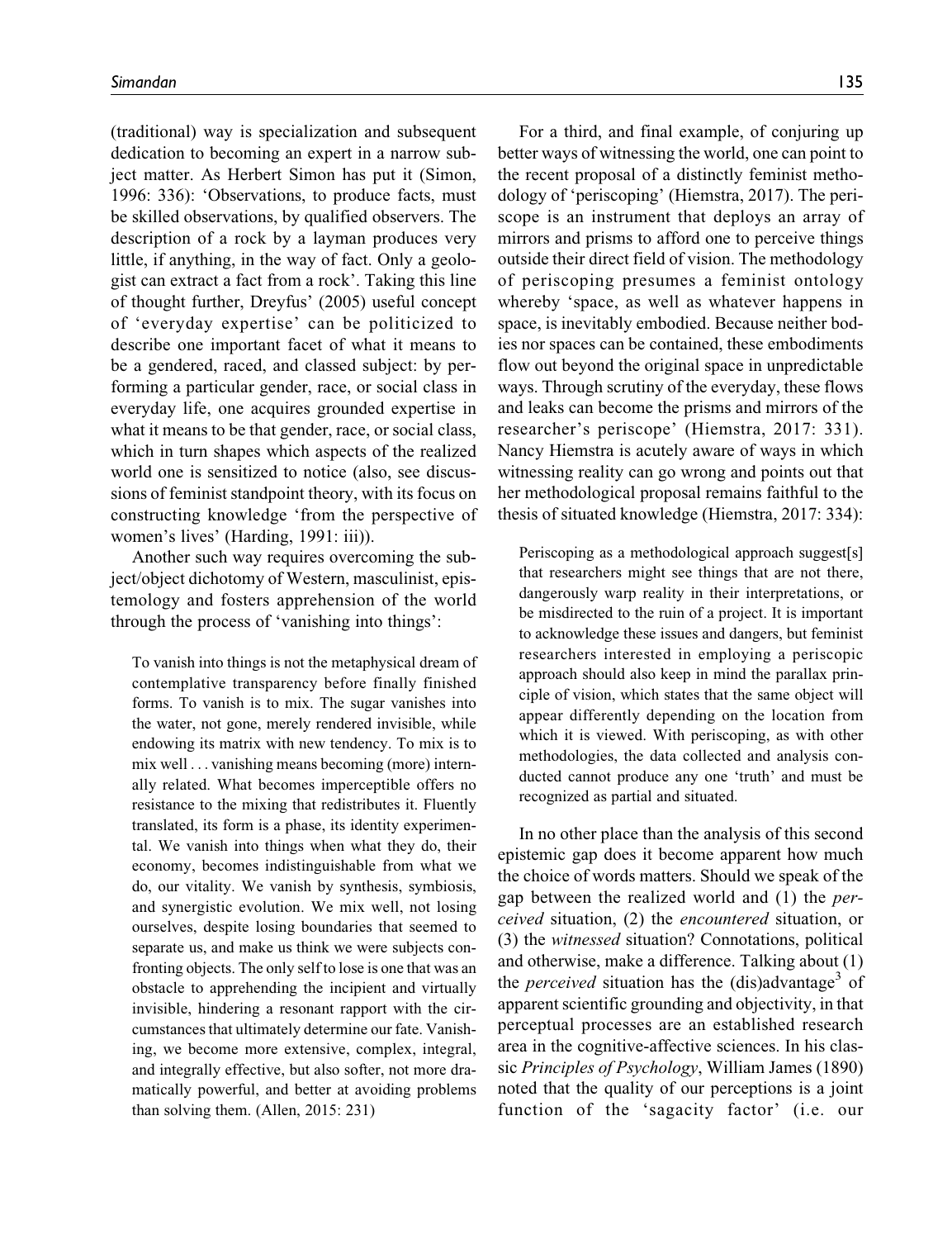(traditional) way is specialization and subsequent dedication to becoming an expert in a narrow subject matter. As Herbert Simon has put it (Simon, 1996: 336): 'Observations, to produce facts, must be skilled observations, by qualified observers. The description of a rock by a layman produces very little, if anything, in the way of fact. Only a geologist can extract a fact from a rock'. Taking this line of thought further, Dreyfus' (2005) useful concept of 'everyday expertise' can be politicized to describe one important facet of what it means to be a gendered, raced, and classed subject: by performing a particular gender, race, or social class in everyday life, one acquires grounded expertise in what it means to be that gender, race, or social class, which in turn shapes which aspects of the realized world one is sensitized to notice (also, see discussions of feminist standpoint theory, with its focus on constructing knowledge 'from the perspective of women's lives' (Harding, 1991: iii)).

Another such way requires overcoming the subject/object dichotomy of Western, masculinist, epistemology and fosters apprehension of the world through the process of 'vanishing into things':

To vanish into things is not the metaphysical dream of contemplative transparency before finally finished forms. To vanish is to mix. The sugar vanishes into the water, not gone, merely rendered invisible, while endowing its matrix with new tendency. To mix is to mix well ... vanishing means becoming (more) internally related. What becomes imperceptible offers no resistance to the mixing that redistributes it. Fluently translated, its form is a phase, its identity experimental. We vanish into things when what they do, their economy, becomes indistinguishable from what we do, our vitality. We vanish by synthesis, symbiosis, and synergistic evolution. We mix well, not losing ourselves, despite losing boundaries that seemed to separate us, and make us think we were subjects confronting objects. The only self to lose is one that was an obstacle to apprehending the incipient and virtually invisible, hindering a resonant rapport with the circumstances that ultimately determine our fate. Vanishing, we become more extensive, complex, integral, and integrally effective, but also softer, not more dramatically powerful, and better at avoiding problems than solving them. (Allen, 2015: 231)

For a third, and final example, of conjuring up better ways of witnessing the world, one can point to the recent proposal of a distinctly feminist methodology of 'periscoping' (Hiemstra, 2017). The periscope is an instrument that deploys an array of mirrors and prisms to afford one to perceive things outside their direct field of vision. The methodology of periscoping presumes a feminist ontology whereby 'space, as well as whatever happens in space, is inevitably embodied. Because neither bodies nor spaces can be contained, these embodiments flow out beyond the original space in unpredictable ways. Through scrutiny of the everyday, these flows and leaks can become the prisms and mirrors of the researcher's periscope' (Hiemstra, 2017: 331). Nancy Hiemstra is acutely aware of ways in which witnessing reality can go wrong and points out that her methodological proposal remains faithful to the thesis of situated knowledge (Hiemstra, 2017: 334):

Periscoping as a methodological approach suggest[s] that researchers might see things that are not there, dangerously warp reality in their interpretations, or be misdirected to the ruin of a project. It is important to acknowledge these issues and dangers, but feminist researchers interested in employing a periscopic approach should also keep in mind the parallax principle of vision, which states that the same object will appear differently depending on the location from which it is viewed. With periscoping, as with other methodologies, the data collected and analysis conducted cannot produce any one 'truth' and must be recognized as partial and situated.

In no other place than the analysis of this second epistemic gap does it become apparent how much the choice of words matters. Should we speak of the gap between the realized world and (1) the perceived situation, (2) the encountered situation, or (3) the witnessed situation? Connotations, political and otherwise, make a difference. Talking about (1) the *perceived* situation has the  $(dis)$  advantage<sup>3</sup> of apparent scientific grounding and objectivity, in that perceptual processes are an established research area in the cognitive-affective sciences. In his classic Principles of Psychology, William James (1890) noted that the quality of our perceptions is a joint function of the 'sagacity factor' (i.e. our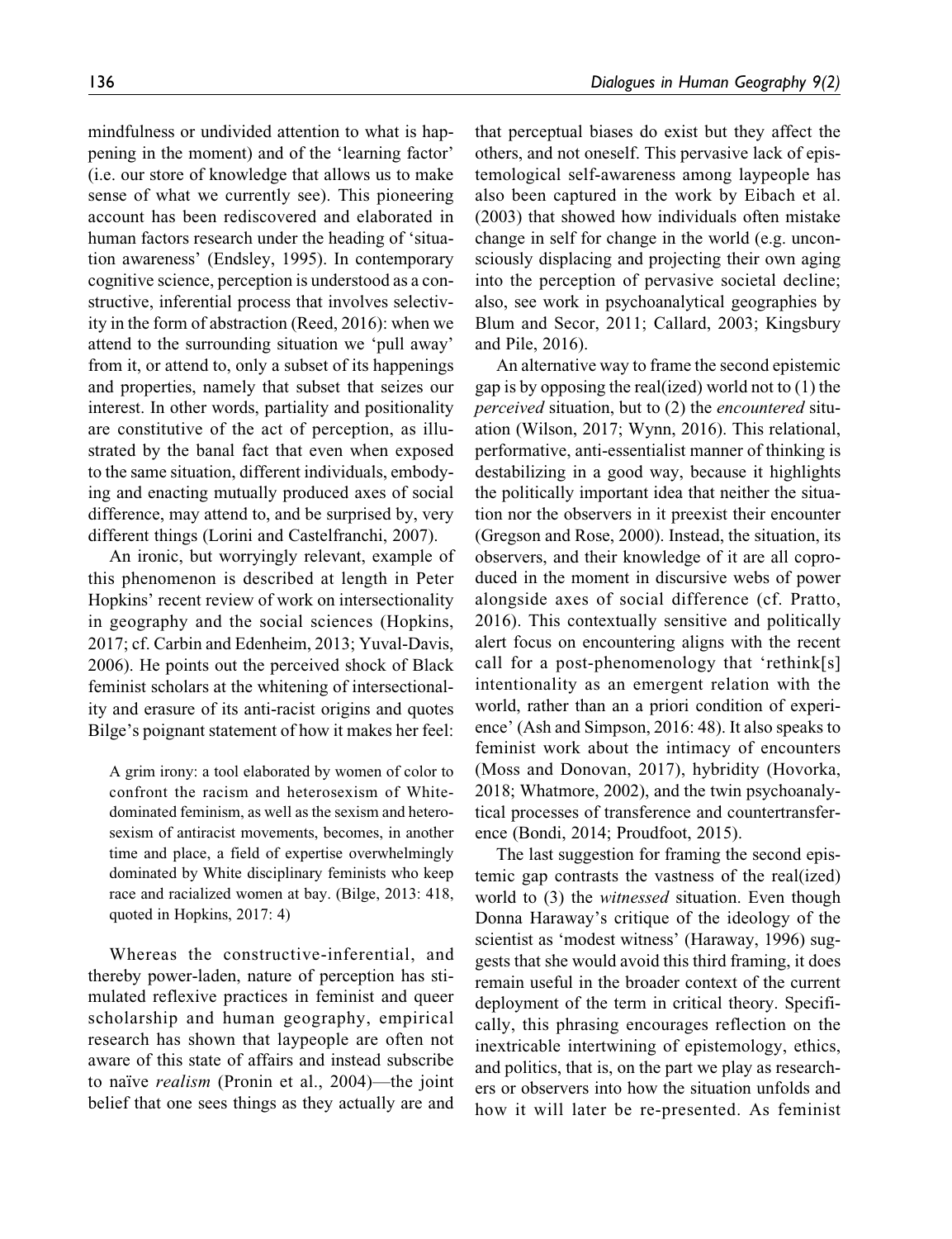mindfulness or undivided attention to what is happening in the moment) and of the 'learning factor' (i.e. our store of knowledge that allows us to make sense of what we currently see). This pioneering account has been rediscovered and elaborated in human factors research under the heading of 'situation awareness' (Endsley, 1995). In contemporary cognitive science, perception is understood as a constructive, inferential process that involves selectivity in the form of abstraction (Reed, 2016): when we attend to the surrounding situation we 'pull away' from it, or attend to, only a subset of its happenings and properties, namely that subset that seizes our interest. In other words, partiality and positionality are constitutive of the act of perception, as illustrated by the banal fact that even when exposed to the same situation, different individuals, embodying and enacting mutually produced axes of social difference, may attend to, and be surprised by, very different things (Lorini and Castelfranchi, 2007).

An ironic, but worryingly relevant, example of this phenomenon is described at length in Peter Hopkins' recent review of work on intersectionality in geography and the social sciences (Hopkins, 2017; cf. Carbin and Edenheim, 2013; Yuval-Davis, 2006). He points out the perceived shock of Black feminist scholars at the whitening of intersectionality and erasure of its anti-racist origins and quotes Bilge's poignant statement of how it makes her feel:

A grim irony: a tool elaborated by women of color to confront the racism and heterosexism of Whitedominated feminism, as well as the sexism and heterosexism of antiracist movements, becomes, in another time and place, a field of expertise overwhelmingly dominated by White disciplinary feminists who keep race and racialized women at bay. (Bilge, 2013: 418, quoted in Hopkins, 2017: 4)

Whereas the constructive-inferential, and thereby power-laden, nature of perception has stimulated reflexive practices in feminist and queer scholarship and human geography, empirical research has shown that laypeople are often not aware of this state of affairs and instead subscribe to naïve *realism* (Pronin et al.,  $2004$ )—the joint belief that one sees things as they actually are and

that perceptual biases do exist but they affect the others, and not oneself. This pervasive lack of epistemological self-awareness among laypeople has also been captured in the work by Eibach et al. (2003) that showed how individuals often mistake change in self for change in the world (e.g. unconsciously displacing and projecting their own aging into the perception of pervasive societal decline; also, see work in psychoanalytical geographies by Blum and Secor, 2011; Callard, 2003; Kingsbury and Pile, 2016).

An alternative way to frame the second epistemic gap is by opposing the real(ized) world not to (1) the perceived situation, but to (2) the encountered situation (Wilson, 2017; Wynn, 2016). This relational, performative, anti-essentialist manner of thinking is destabilizing in a good way, because it highlights the politically important idea that neither the situation nor the observers in it preexist their encounter (Gregson and Rose, 2000). Instead, the situation, its observers, and their knowledge of it are all coproduced in the moment in discursive webs of power alongside axes of social difference (cf. Pratto, 2016). This contextually sensitive and politically alert focus on encountering aligns with the recent call for a post-phenomenology that 'rethink[s] intentionality as an emergent relation with the world, rather than an a priori condition of experience' (Ash and Simpson, 2016: 48). It also speaks to feminist work about the intimacy of encounters (Moss and Donovan, 2017), hybridity (Hovorka, 2018; Whatmore, 2002), and the twin psychoanalytical processes of transference and countertransference (Bondi, 2014; Proudfoot, 2015).

The last suggestion for framing the second epistemic gap contrasts the vastness of the real(ized) world to (3) the *witnessed* situation. Even though Donna Haraway's critique of the ideology of the scientist as 'modest witness' (Haraway, 1996) suggests that she would avoid this third framing, it does remain useful in the broader context of the current deployment of the term in critical theory. Specifically, this phrasing encourages reflection on the inextricable intertwining of epistemology, ethics, and politics, that is, on the part we play as researchers or observers into how the situation unfolds and how it will later be re-presented. As feminist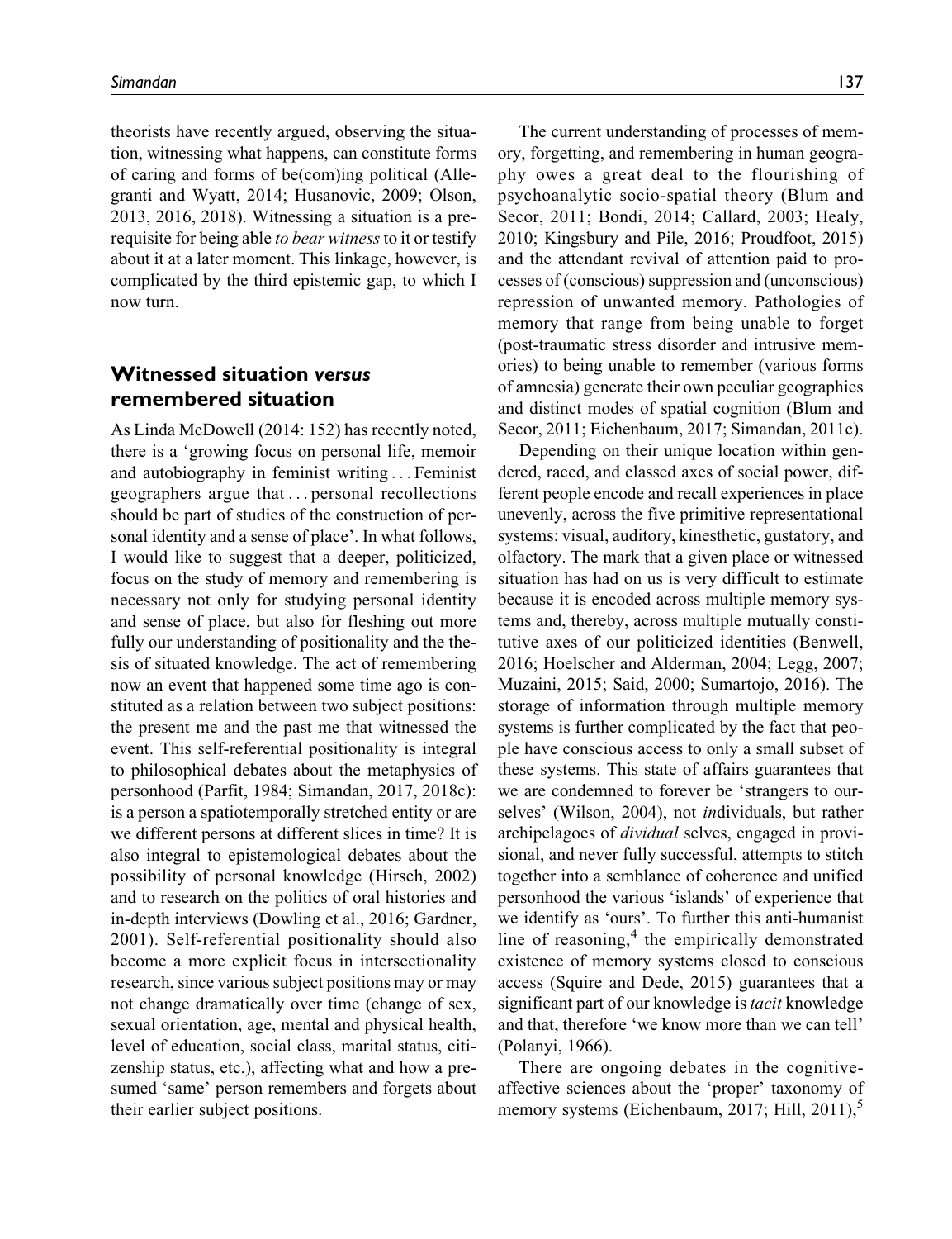theorists have recently argued, observing the situation, witnessing what happens, can constitute forms of caring and forms of be(com)ing political (Allegranti and Wyatt, 2014; Husanovic, 2009; Olson, 2013, 2016, 2018). Witnessing a situation is a prerequisite for being able to bear witness to it or testify about it at a later moment. This linkage, however, is complicated by the third epistemic gap, to which I now turn.

### Witnessed situation versus remembered situation

As Linda McDowell (2014: 152) has recently noted, there is a 'growing focus on personal life, memoir and autobiography in feminist writing ... Feminist geographers argue that ... personal recollections should be part of studies of the construction of personal identity and a sense of place'. In what follows, I would like to suggest that a deeper, politicized, focus on the study of memory and remembering is necessary not only for studying personal identity and sense of place, but also for fleshing out more fully our understanding of positionality and the thesis of situated knowledge. The act of remembering now an event that happened some time ago is constituted as a relation between two subject positions: the present me and the past me that witnessed the event. This self-referential positionality is integral to philosophical debates about the metaphysics of personhood (Parfit, 1984; Simandan, 2017, 2018c): is a person a spatiotemporally stretched entity or are we different persons at different slices in time? It is also integral to epistemological debates about the possibility of personal knowledge (Hirsch, 2002) and to research on the politics of oral histories and in-depth interviews (Dowling et al., 2016; Gardner, 2001). Self-referential positionality should also become a more explicit focus in intersectionality research, since various subject positions may or may not change dramatically over time (change of sex, sexual orientation, age, mental and physical health, level of education, social class, marital status, citizenship status, etc.), affecting what and how a presumed 'same' person remembers and forgets about their earlier subject positions.

The current understanding of processes of memory, forgetting, and remembering in human geography owes a great deal to the flourishing of psychoanalytic socio-spatial theory (Blum and Secor, 2011; Bondi, 2014; Callard, 2003; Healy, 2010; Kingsbury and Pile, 2016; Proudfoot, 2015) and the attendant revival of attention paid to processes of (conscious) suppression and (unconscious) repression of unwanted memory. Pathologies of memory that range from being unable to forget (post-traumatic stress disorder and intrusive memories) to being unable to remember (various forms of amnesia) generate their own peculiar geographies and distinct modes of spatial cognition (Blum and Secor, 2011; Eichenbaum, 2017; Simandan, 2011c).

Depending on their unique location within gendered, raced, and classed axes of social power, different people encode and recall experiences in place unevenly, across the five primitive representational systems: visual, auditory, kinesthetic, gustatory, and olfactory. The mark that a given place or witnessed situation has had on us is very difficult to estimate because it is encoded across multiple memory systems and, thereby, across multiple mutually constitutive axes of our politicized identities (Benwell, 2016; Hoelscher and Alderman, 2004; Legg, 2007; Muzaini, 2015; Said, 2000; Sumartojo, 2016). The storage of information through multiple memory systems is further complicated by the fact that people have conscious access to only a small subset of these systems. This state of affairs guarantees that we are condemned to forever be 'strangers to ourselves' (Wilson, 2004), not individuals, but rather archipelagoes of dividual selves, engaged in provisional, and never fully successful, attempts to stitch together into a semblance of coherence and unified personhood the various 'islands' of experience that we identify as 'ours'. To further this anti-humanist line of reasoning, $4$  the empirically demonstrated existence of memory systems closed to conscious access (Squire and Dede, 2015) guarantees that a significant part of our knowledge is *tacit* knowledge and that, therefore 'we know more than we can tell' (Polanyi, 1966).

There are ongoing debates in the cognitiveaffective sciences about the 'proper' taxonomy of memory systems (Eichenbaum, 2017; Hill,  $2011$ ),<sup>5</sup>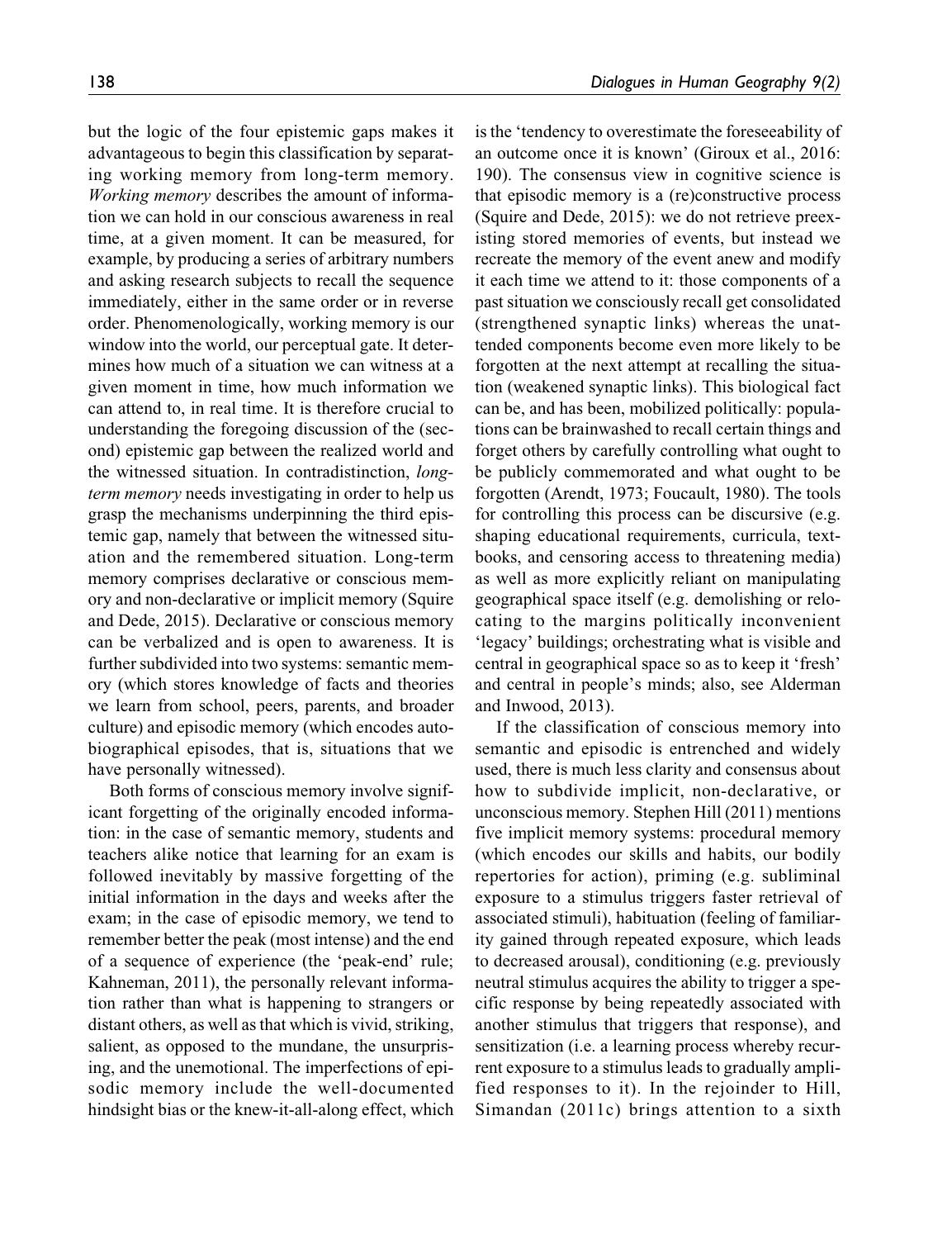but the logic of the four epistemic gaps makes it advantageous to begin this classification by separating working memory from long-term memory. Working memory describes the amount of information we can hold in our conscious awareness in real time, at a given moment. It can be measured, for example, by producing a series of arbitrary numbers and asking research subjects to recall the sequence immediately, either in the same order or in reverse order. Phenomenologically, working memory is our window into the world, our perceptual gate. It determines how much of a situation we can witness at a given moment in time, how much information we can attend to, in real time. It is therefore crucial to understanding the foregoing discussion of the (second) epistemic gap between the realized world and the witnessed situation. In contradistinction, longterm memory needs investigating in order to help us grasp the mechanisms underpinning the third epistemic gap, namely that between the witnessed situation and the remembered situation. Long-term memory comprises declarative or conscious memory and non-declarative or implicit memory (Squire and Dede, 2015). Declarative or conscious memory can be verbalized and is open to awareness. It is further subdivided into two systems: semantic memory (which stores knowledge of facts and theories we learn from school, peers, parents, and broader culture) and episodic memory (which encodes autobiographical episodes, that is, situations that we have personally witnessed).

Both forms of conscious memory involve significant forgetting of the originally encoded information: in the case of semantic memory, students and teachers alike notice that learning for an exam is followed inevitably by massive forgetting of the initial information in the days and weeks after the exam; in the case of episodic memory, we tend to remember better the peak (most intense) and the end of a sequence of experience (the 'peak-end' rule; Kahneman, 2011), the personally relevant information rather than what is happening to strangers or distant others, as well as that which is vivid, striking, salient, as opposed to the mundane, the unsurprising, and the unemotional. The imperfections of episodic memory include the well-documented hindsight bias or the knew-it-all-along effect, which

is the 'tendency to overestimate the foreseeability of an outcome once it is known' (Giroux et al., 2016: 190). The consensus view in cognitive science is that episodic memory is a (re)constructive process (Squire and Dede, 2015): we do not retrieve preexisting stored memories of events, but instead we recreate the memory of the event anew and modify it each time we attend to it: those components of a past situation we consciously recall get consolidated (strengthened synaptic links) whereas the unattended components become even more likely to be forgotten at the next attempt at recalling the situation (weakened synaptic links). This biological fact can be, and has been, mobilized politically: populations can be brainwashed to recall certain things and forget others by carefully controlling what ought to be publicly commemorated and what ought to be forgotten (Arendt, 1973; Foucault, 1980). The tools for controlling this process can be discursive (e.g. shaping educational requirements, curricula, textbooks, and censoring access to threatening media) as well as more explicitly reliant on manipulating geographical space itself (e.g. demolishing or relocating to the margins politically inconvenient 'legacy' buildings; orchestrating what is visible and central in geographical space so as to keep it 'fresh' and central in people's minds; also, see Alderman and Inwood, 2013).

If the classification of conscious memory into semantic and episodic is entrenched and widely used, there is much less clarity and consensus about how to subdivide implicit, non-declarative, or unconscious memory. Stephen Hill (2011) mentions five implicit memory systems: procedural memory (which encodes our skills and habits, our bodily repertories for action), priming (e.g. subliminal exposure to a stimulus triggers faster retrieval of associated stimuli), habituation (feeling of familiarity gained through repeated exposure, which leads to decreased arousal), conditioning (e.g. previously neutral stimulus acquires the ability to trigger a specific response by being repeatedly associated with another stimulus that triggers that response), and sensitization (i.e. a learning process whereby recurrent exposure to a stimulus leads to gradually amplified responses to it). In the rejoinder to Hill, Simandan (2011c) brings attention to a sixth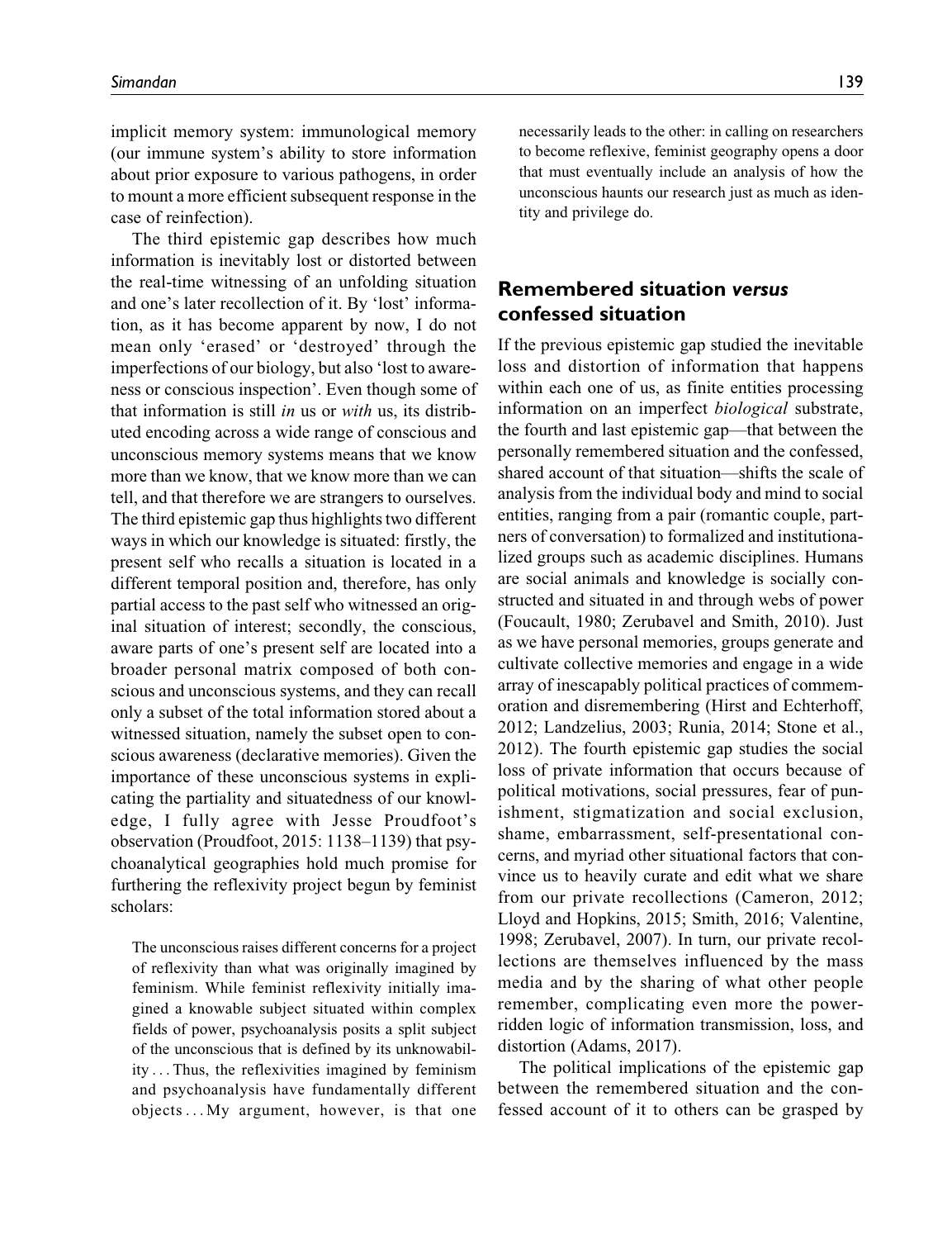implicit memory system: immunological memory (our immune system's ability to store information about prior exposure to various pathogens, in order to mount a more efficient subsequent response in the case of reinfection).

The third epistemic gap describes how much information is inevitably lost or distorted between the real-time witnessing of an unfolding situation and one's later recollection of it. By 'lost' information, as it has become apparent by now, I do not mean only 'erased' or 'destroyed' through the imperfections of our biology, but also 'lost to awareness or conscious inspection'. Even though some of that information is still in us or with us, its distributed encoding across a wide range of conscious and unconscious memory systems means that we know more than we know, that we know more than we can tell, and that therefore we are strangers to ourselves. The third epistemic gap thus highlights two different ways in which our knowledge is situated: firstly, the present self who recalls a situation is located in a different temporal position and, therefore, has only partial access to the past self who witnessed an original situation of interest; secondly, the conscious, aware parts of one's present self are located into a broader personal matrix composed of both conscious and unconscious systems, and they can recall only a subset of the total information stored about a witnessed situation, namely the subset open to conscious awareness (declarative memories). Given the importance of these unconscious systems in explicating the partiality and situatedness of our knowledge, I fully agree with Jesse Proudfoot's observation (Proudfoot, 2015: 1138–1139) that psychoanalytical geographies hold much promise for furthering the reflexivity project begun by feminist scholars:

The unconscious raises different concerns for a project of reflexivity than what was originally imagined by feminism. While feminist reflexivity initially imagined a knowable subject situated within complex fields of power, psychoanalysis posits a split subject of the unconscious that is defined by its unknowability ... Thus, the reflexivities imagined by feminism and psychoanalysis have fundamentally different objects ... My argument, however, is that one necessarily leads to the other: in calling on researchers to become reflexive, feminist geography opens a door that must eventually include an analysis of how the unconscious haunts our research just as much as identity and privilege do.

### Remembered situation versus confessed situation

If the previous epistemic gap studied the inevitable loss and distortion of information that happens within each one of us, as finite entities processing information on an imperfect biological substrate, the fourth and last epistemic gap—that between the personally remembered situation and the confessed, shared account of that situation—shifts the scale of analysis from the individual body and mind to social entities, ranging from a pair (romantic couple, partners of conversation) to formalized and institutionalized groups such as academic disciplines. Humans are social animals and knowledge is socially constructed and situated in and through webs of power (Foucault, 1980; Zerubavel and Smith, 2010). Just as we have personal memories, groups generate and cultivate collective memories and engage in a wide array of inescapably political practices of commemoration and disremembering (Hirst and Echterhoff, 2012; Landzelius, 2003; Runia, 2014; Stone et al., 2012). The fourth epistemic gap studies the social loss of private information that occurs because of political motivations, social pressures, fear of punishment, stigmatization and social exclusion, shame, embarrassment, self-presentational concerns, and myriad other situational factors that convince us to heavily curate and edit what we share from our private recollections (Cameron, 2012; Lloyd and Hopkins, 2015; Smith, 2016; Valentine, 1998; Zerubavel, 2007). In turn, our private recollections are themselves influenced by the mass media and by the sharing of what other people remember, complicating even more the powerridden logic of information transmission, loss, and distortion (Adams, 2017).

The political implications of the epistemic gap between the remembered situation and the confessed account of it to others can be grasped by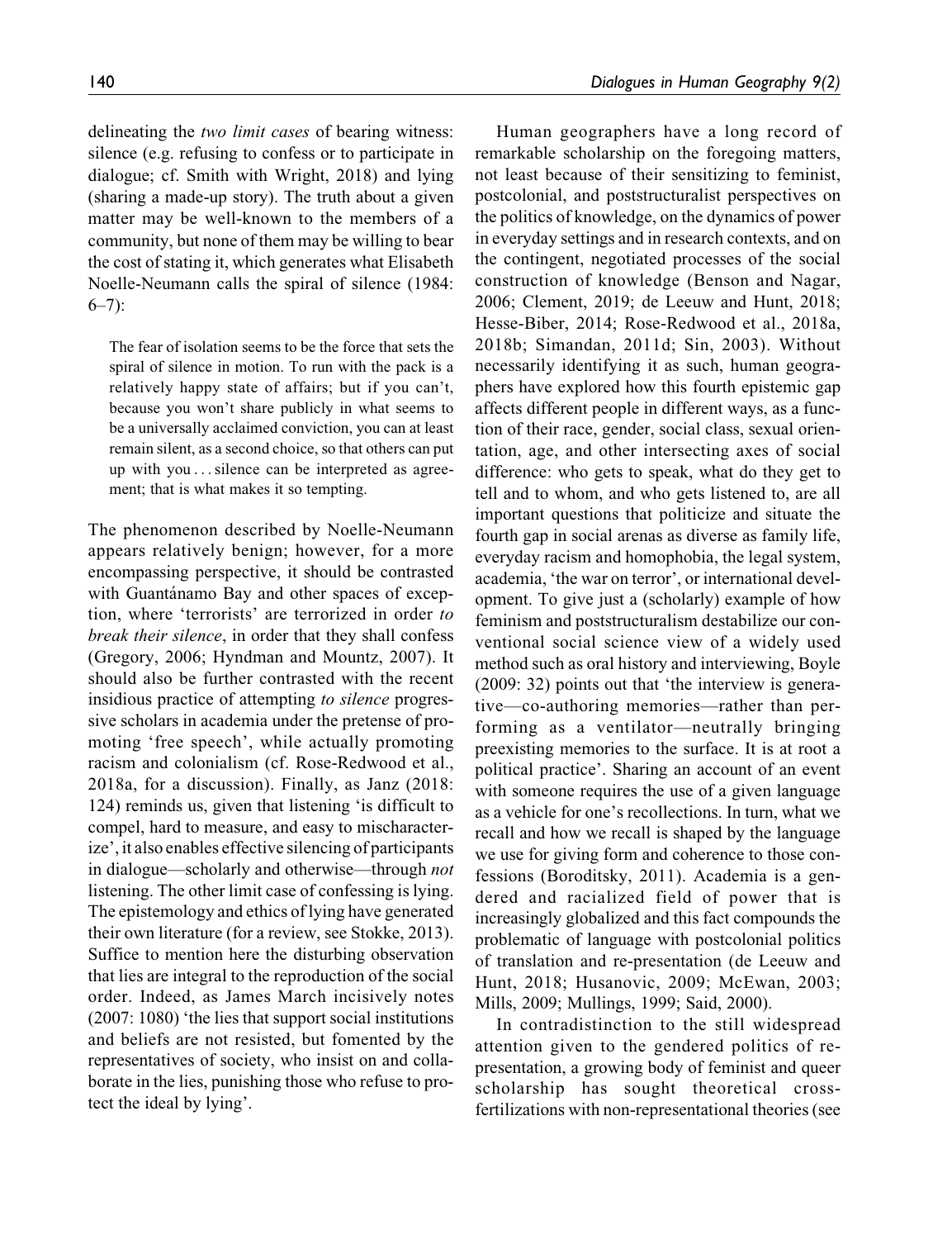delineating the two limit cases of bearing witness: silence (e.g. refusing to confess or to participate in dialogue; cf. Smith with Wright, 2018) and lying (sharing a made-up story). The truth about a given matter may be well-known to the members of a community, but none of them may be willing to bear the cost of stating it, which generates what Elisabeth Noelle-Neumann calls the spiral of silence (1984: 6–7):

The fear of isolation seems to be the force that sets the spiral of silence in motion. To run with the pack is a relatively happy state of affairs; but if you can't, because you won't share publicly in what seems to be a universally acclaimed conviction, you can at least remain silent, as a second choice, so that others can put up with you ...silence can be interpreted as agreement; that is what makes it so tempting.

The phenomenon described by Noelle-Neumann appears relatively benign; however, for a more encompassing perspective, it should be contrasted with Guantánamo Bay and other spaces of exception, where 'terrorists' are terrorized in order to break their silence, in order that they shall confess (Gregory, 2006; Hyndman and Mountz, 2007). It should also be further contrasted with the recent insidious practice of attempting to silence progressive scholars in academia under the pretense of promoting 'free speech', while actually promoting racism and colonialism (cf. Rose-Redwood et al., 2018a, for a discussion). Finally, as Janz (2018: 124) reminds us, given that listening 'is difficult to compel, hard to measure, and easy to mischaracterize', it also enables effective silencing of participants in dialogue—scholarly and otherwise—through not listening. The other limit case of confessing is lying. The epistemology and ethics of lying have generated their own literature (for a review, see Stokke, 2013). Suffice to mention here the disturbing observation that lies are integral to the reproduction of the social order. Indeed, as James March incisively notes (2007: 1080) 'the lies that support social institutions and beliefs are not resisted, but fomented by the representatives of society, who insist on and collaborate in the lies, punishing those who refuse to protect the ideal by lying'.

Human geographers have a long record of remarkable scholarship on the foregoing matters, not least because of their sensitizing to feminist, postcolonial, and poststructuralist perspectives on the politics of knowledge, on the dynamics of power in everyday settings and in research contexts, and on the contingent, negotiated processes of the social construction of knowledge (Benson and Nagar, 2006; Clement, 2019; de Leeuw and Hunt, 2018; Hesse-Biber, 2014; Rose-Redwood et al., 2018a, 2018b; Simandan, 2011d; Sin, 2003). Without necessarily identifying it as such, human geographers have explored how this fourth epistemic gap affects different people in different ways, as a function of their race, gender, social class, sexual orientation, age, and other intersecting axes of social difference: who gets to speak, what do they get to tell and to whom, and who gets listened to, are all important questions that politicize and situate the fourth gap in social arenas as diverse as family life, everyday racism and homophobia, the legal system, academia, 'the war on terror', or international development. To give just a (scholarly) example of how feminism and poststructuralism destabilize our conventional social science view of a widely used method such as oral history and interviewing, Boyle (2009: 32) points out that 'the interview is generative—co-authoring memories—rather than performing as a ventilator—neutrally bringing preexisting memories to the surface. It is at root a political practice'. Sharing an account of an event with someone requires the use of a given language as a vehicle for one's recollections. In turn, what we recall and how we recall is shaped by the language we use for giving form and coherence to those confessions (Boroditsky, 2011). Academia is a gendered and racialized field of power that is increasingly globalized and this fact compounds the problematic of language with postcolonial politics of translation and re-presentation (de Leeuw and Hunt, 2018; Husanovic, 2009; McEwan, 2003; Mills, 2009; Mullings, 1999; Said, 2000).

In contradistinction to the still widespread attention given to the gendered politics of representation, a growing body of feminist and queer scholarship has sought theoretical crossfertilizations with non-representational theories (see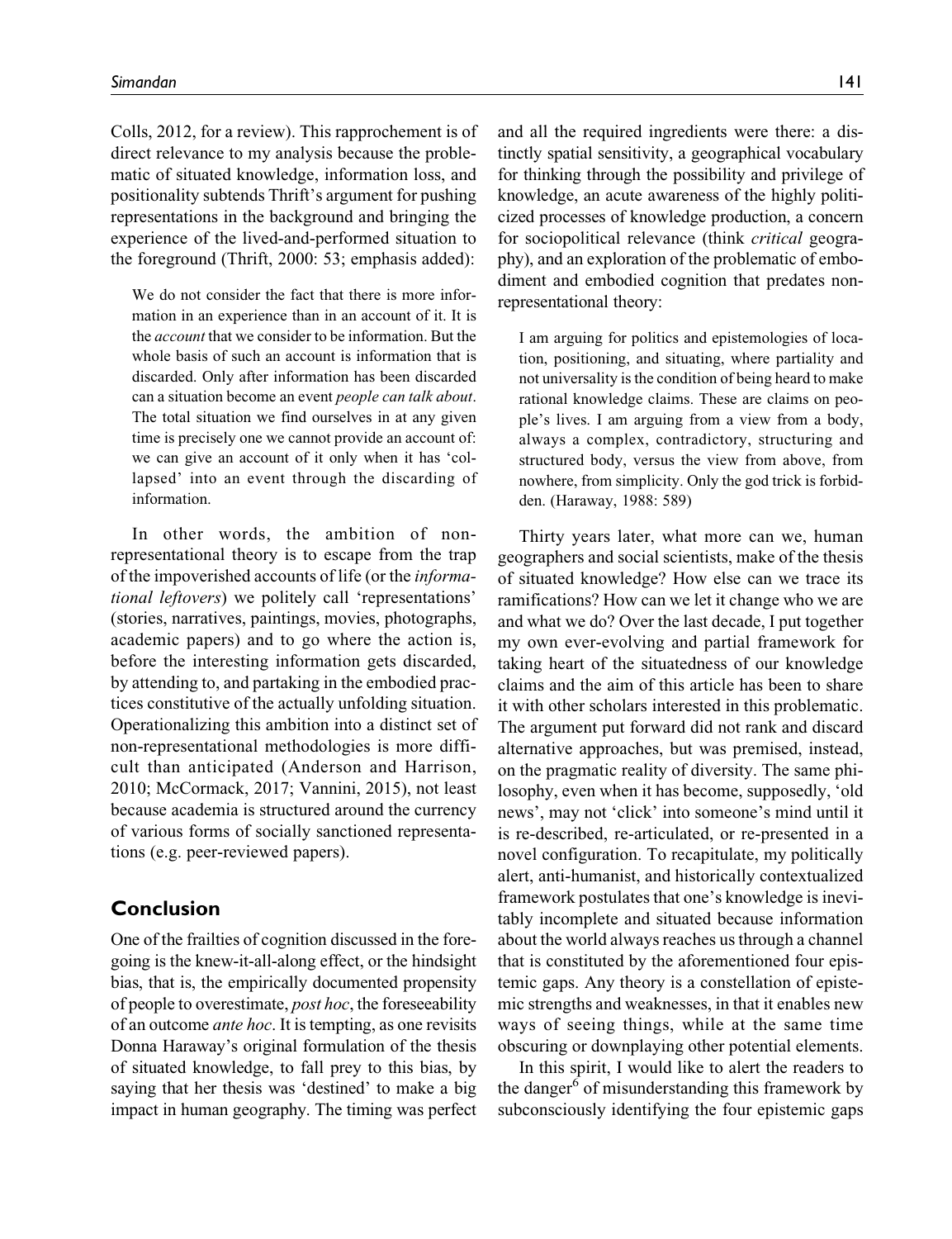Colls, 2012, for a review). This rapprochement is of direct relevance to my analysis because the problematic of situated knowledge, information loss, and positionality subtends Thrift's argument for pushing representations in the background and bringing the experience of the lived-and-performed situation to the foreground (Thrift, 2000: 53; emphasis added):

We do not consider the fact that there is more information in an experience than in an account of it. It is the account that we consider to be information. But the whole basis of such an account is information that is discarded. Only after information has been discarded can a situation become an event people can talk about. The total situation we find ourselves in at any given time is precisely one we cannot provide an account of: we can give an account of it only when it has 'collapsed' into an event through the discarding of information.

In other words, the ambition of nonrepresentational theory is to escape from the trap of the impoverished accounts of life (or the informational leftovers) we politely call 'representations' (stories, narratives, paintings, movies, photographs, academic papers) and to go where the action is, before the interesting information gets discarded, by attending to, and partaking in the embodied practices constitutive of the actually unfolding situation. Operationalizing this ambition into a distinct set of non-representational methodologies is more difficult than anticipated (Anderson and Harrison, 2010; McCormack, 2017; Vannini, 2015), not least because academia is structured around the currency of various forms of socially sanctioned representations (e.g. peer-reviewed papers).

### Conclusion

One of the frailties of cognition discussed in the foregoing is the knew-it-all-along effect, or the hindsight bias, that is, the empirically documented propensity of people to overestimate, *post hoc*, the foreseeability of an outcome ante hoc. It is tempting, as one revisits Donna Haraway's original formulation of the thesis of situated knowledge, to fall prey to this bias, by saying that her thesis was 'destined' to make a big impact in human geography. The timing was perfect and all the required ingredients were there: a distinctly spatial sensitivity, a geographical vocabulary for thinking through the possibility and privilege of knowledge, an acute awareness of the highly politicized processes of knowledge production, a concern for sociopolitical relevance (think critical geography), and an exploration of the problematic of embodiment and embodied cognition that predates nonrepresentational theory:

I am arguing for politics and epistemologies of location, positioning, and situating, where partiality and not universality is the condition of being heard to make rational knowledge claims. These are claims on people's lives. I am arguing from a view from a body, always a complex, contradictory, structuring and structured body, versus the view from above, from nowhere, from simplicity. Only the god trick is forbidden. (Haraway, 1988: 589)

Thirty years later, what more can we, human geographers and social scientists, make of the thesis of situated knowledge? How else can we trace its ramifications? How can we let it change who we are and what we do? Over the last decade, I put together my own ever-evolving and partial framework for taking heart of the situatedness of our knowledge claims and the aim of this article has been to share it with other scholars interested in this problematic. The argument put forward did not rank and discard alternative approaches, but was premised, instead, on the pragmatic reality of diversity. The same philosophy, even when it has become, supposedly, 'old news', may not 'click' into someone's mind until it is re-described, re-articulated, or re-presented in a novel configuration. To recapitulate, my politically alert, anti-humanist, and historically contextualized framework postulates that one's knowledge is inevitably incomplete and situated because information about the world always reaches us through a channel that is constituted by the aforementioned four epistemic gaps. Any theory is a constellation of epistemic strengths and weaknesses, in that it enables new ways of seeing things, while at the same time obscuring or downplaying other potential elements.

In this spirit, I would like to alert the readers to the danger $<sup>6</sup>$  of misunderstanding this framework by</sup> subconsciously identifying the four epistemic gaps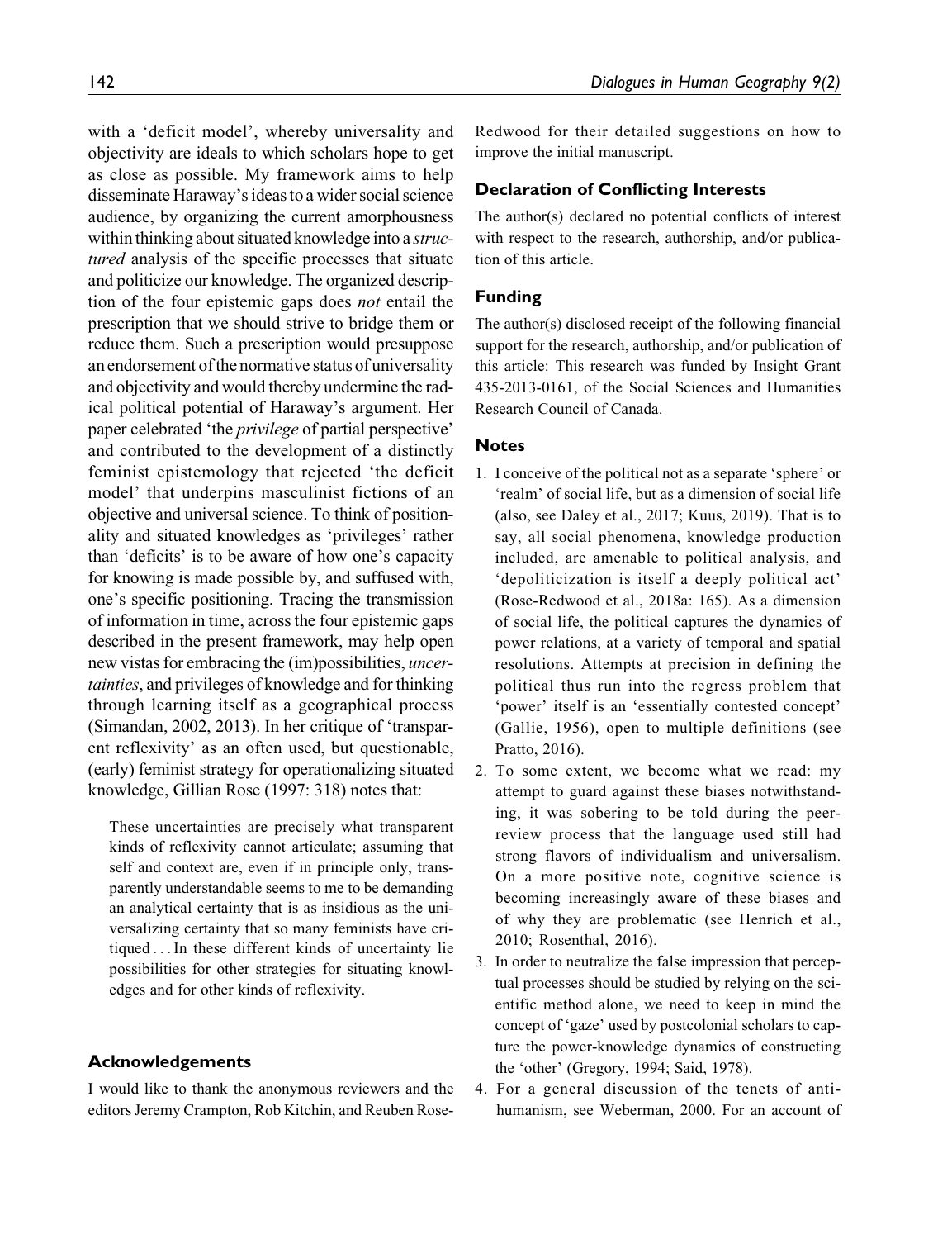with a 'deficit model', whereby universality and objectivity are ideals to which scholars hope to get as close as possible. My framework aims to help disseminate Haraway's ideas to a wider social science audience, by organizing the current amorphousness within thinking about situated knowledge into a *struc*tured analysis of the specific processes that situate and politicize our knowledge. The organized description of the four epistemic gaps does not entail the prescription that we should strive to bridge them or reduce them. Such a prescription would presuppose an endorsement of the normative status of universality and objectivity and would thereby undermine the radical political potential of Haraway's argument. Her paper celebrated 'the privilege of partial perspective' and contributed to the development of a distinctly feminist epistemology that rejected 'the deficit model' that underpins masculinist fictions of an objective and universal science. To think of positionality and situated knowledges as 'privileges' rather than 'deficits' is to be aware of how one's capacity for knowing is made possible by, and suffused with, one's specific positioning. Tracing the transmission of information in time, across the four epistemic gaps described in the present framework, may help open new vistas for embracing the (im)possibilities, uncertainties, and privileges of knowledge and for thinking through learning itself as a geographical process (Simandan, 2002, 2013). In her critique of 'transparent reflexivity' as an often used, but questionable, (early) feminist strategy for operationalizing situated knowledge, Gillian Rose (1997: 318) notes that:

These uncertainties are precisely what transparent kinds of reflexivity cannot articulate; assuming that self and context are, even if in principle only, transparently understandable seems to me to be demanding an analytical certainty that is as insidious as the universalizing certainty that so many feminists have critiqued ...In these different kinds of uncertainty lie possibilities for other strategies for situating knowledges and for other kinds of reflexivity.

### Acknowledgements

I would like to thank the anonymous reviewers and the editors Jeremy Crampton, Rob Kitchin, and Reuben RoseRedwood for their detailed suggestions on how to improve the initial manuscript.

#### Declaration of Conflicting Interests

The author(s) declared no potential conflicts of interest with respect to the research, authorship, and/or publication of this article.

#### Funding

The author(s) disclosed receipt of the following financial support for the research, authorship, and/or publication of this article: This research was funded by Insight Grant 435-2013-0161, of the Social Sciences and Humanities Research Council of Canada.

#### **Notes**

- 1. I conceive of the political not as a separate 'sphere' or 'realm' of social life, but as a dimension of social life (also, see Daley et al., 2017; Kuus, 2019). That is to say, all social phenomena, knowledge production included, are amenable to political analysis, and 'depoliticization is itself a deeply political act' (Rose-Redwood et al., 2018a: 165). As a dimension of social life, the political captures the dynamics of power relations, at a variety of temporal and spatial resolutions. Attempts at precision in defining the political thus run into the regress problem that 'power' itself is an 'essentially contested concept' (Gallie, 1956), open to multiple definitions (see Pratto, 2016).
- 2. To some extent, we become what we read: my attempt to guard against these biases notwithstanding, it was sobering to be told during the peerreview process that the language used still had strong flavors of individualism and universalism. On a more positive note, cognitive science is becoming increasingly aware of these biases and of why they are problematic (see Henrich et al., 2010; Rosenthal, 2016).
- 3. In order to neutralize the false impression that perceptual processes should be studied by relying on the scientific method alone, we need to keep in mind the concept of 'gaze' used by postcolonial scholars to capture the power-knowledge dynamics of constructing the 'other' (Gregory, 1994; Said, 1978).
- 4. For a general discussion of the tenets of antihumanism, see Weberman, 2000. For an account of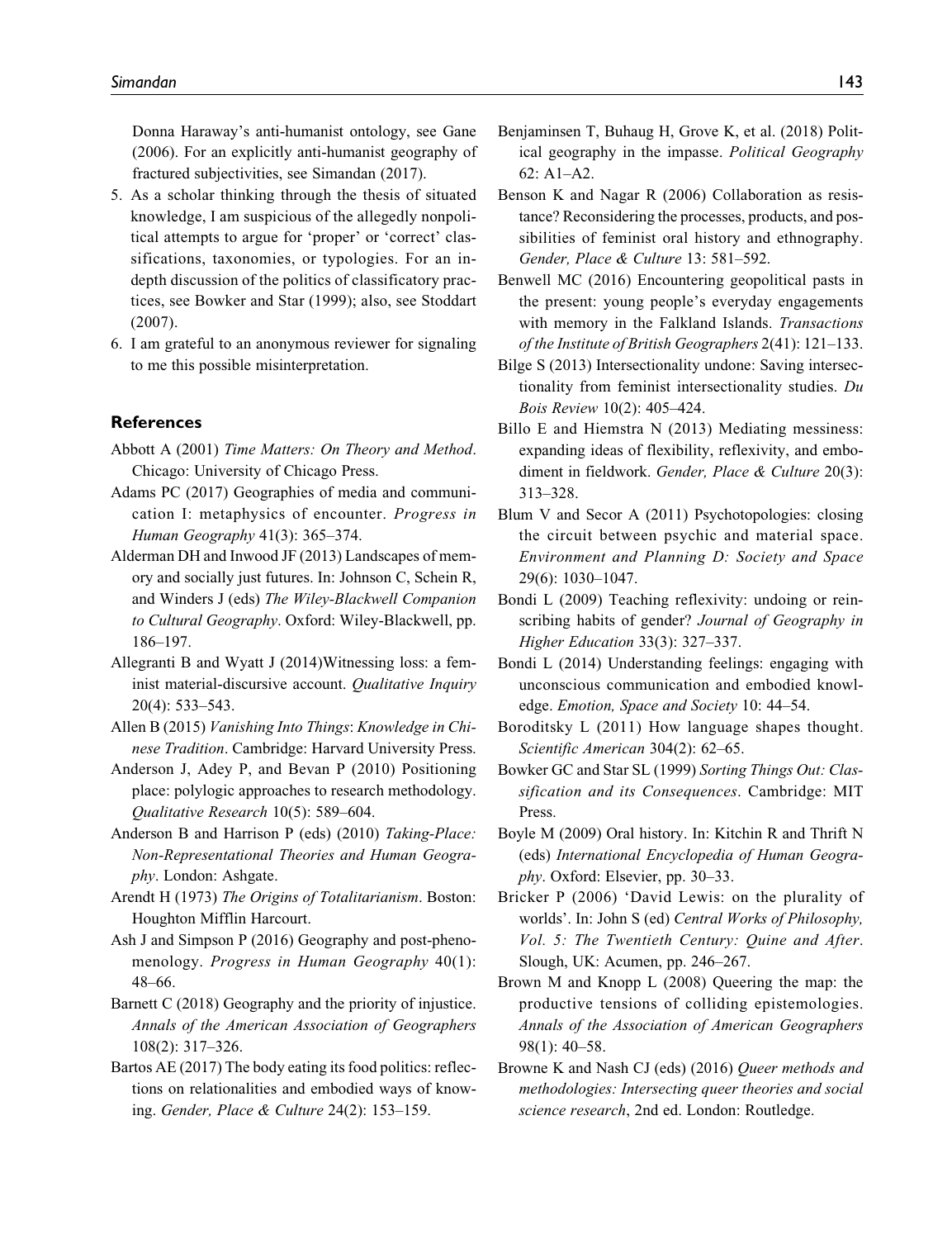Donna Haraway's anti-humanist ontology, see Gane (2006). For an explicitly anti-humanist geography of fractured subjectivities, see Simandan (2017).

- 5. As a scholar thinking through the thesis of situated knowledge, I am suspicious of the allegedly nonpolitical attempts to argue for 'proper' or 'correct' classifications, taxonomies, or typologies. For an indepth discussion of the politics of classificatory practices, see Bowker and Star (1999); also, see Stoddart (2007).
- 6. I am grateful to an anonymous reviewer for signaling to me this possible misinterpretation.

#### References

- Abbott A (2001) Time Matters: On Theory and Method. Chicago: University of Chicago Press.
- Adams PC (2017) Geographies of media and communication I: metaphysics of encounter. Progress in Human Geography 41(3): 365–374.
- Alderman DH and Inwood JF (2013) Landscapes of memory and socially just futures. In: Johnson C, Schein R, and Winders J (eds) The Wiley-Blackwell Companion to Cultural Geography. Oxford: Wiley-Blackwell, pp. 186–197.
- Allegranti B and Wyatt J (2014)Witnessing loss: a feminist material-discursive account. Qualitative Inquiry 20(4): 533–543.
- Allen B (2015) Vanishing Into Things: Knowledge in Chinese Tradition. Cambridge: Harvard University Press.
- Anderson J, Adey P, and Bevan P (2010) Positioning place: polylogic approaches to research methodology. Qualitative Research 10(5): 589–604.
- Anderson B and Harrison P (eds) (2010) Taking-Place: Non-Representational Theories and Human Geography. London: Ashgate.
- Arendt H (1973) The Origins of Totalitarianism. Boston: Houghton Mifflin Harcourt.
- Ash J and Simpson P (2016) Geography and post-phenomenology. *Progress in Human Geography* 40(1): 48–66.
- Barnett C (2018) Geography and the priority of injustice. Annals of the American Association of Geographers 108(2): 317–326.
- Bartos AE (2017) The body eating its food politics: reflections on relationalities and embodied ways of knowing. Gender, Place & Culture 24(2): 153–159.
- Benjaminsen T, Buhaug H, Grove K, et al. (2018) Political geography in the impasse. Political Geography 62: A1–A2.
- Benson K and Nagar R (2006) Collaboration as resistance? Reconsidering the processes, products, and possibilities of feminist oral history and ethnography. Gender, Place & Culture 13: 581–592.
- Benwell MC (2016) Encountering geopolitical pasts in the present: young people's everyday engagements with memory in the Falkland Islands. Transactions of the Institute of British Geographers 2(41): 121–133.
- Bilge S (2013) Intersectionality undone: Saving intersectionality from feminist intersectionality studies. Du Bois Review 10(2): 405–424.
- Billo E and Hiemstra N (2013) Mediating messiness: expanding ideas of flexibility, reflexivity, and embodiment in fieldwork. Gender, Place & Culture 20(3): 313–328.
- Blum V and Secor A (2011) Psychotopologies: closing the circuit between psychic and material space. Environment and Planning D: Society and Space 29(6): 1030–1047.
- Bondi L (2009) Teaching reflexivity: undoing or reinscribing habits of gender? Journal of Geography in Higher Education 33(3): 327–337.
- Bondi L (2014) Understanding feelings: engaging with unconscious communication and embodied knowledge. Emotion, Space and Society 10: 44–54.
- Boroditsky L (2011) How language shapes thought. Scientific American 304(2): 62–65.
- Bowker GC and Star SL (1999) Sorting Things Out: Classification and its Consequences. Cambridge: MIT Press.
- Boyle M (2009) Oral history. In: Kitchin R and Thrift N (eds) International Encyclopedia of Human Geography. Oxford: Elsevier, pp. 30–33.
- Bricker P (2006) 'David Lewis: on the plurality of worlds'. In: John S (ed) Central Works of Philosophy, Vol. 5: The Twentieth Century: Quine and After. Slough, UK: Acumen, pp. 246–267.
- Brown M and Knopp L (2008) Queering the map: the productive tensions of colliding epistemologies. Annals of the Association of American Geographers 98(1): 40–58.
- Browne K and Nash CJ (eds) (2016) Queer methods and methodologies: Intersecting queer theories and social science research, 2nd ed. London: Routledge.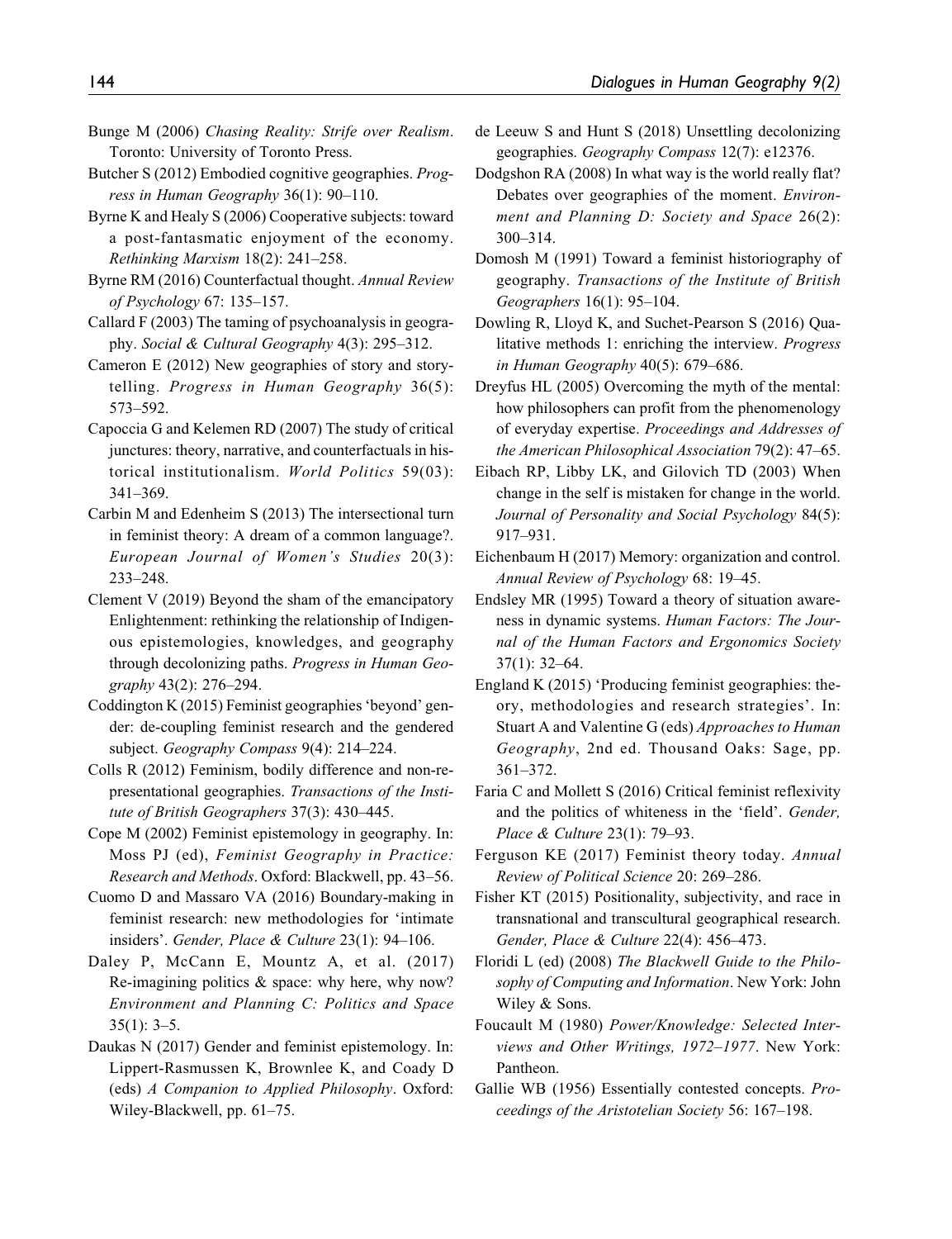- Bunge M (2006) Chasing Reality: Strife over Realism. Toronto: University of Toronto Press.
- Butcher S (2012) Embodied cognitive geographies. Progress in Human Geography 36(1): 90–110.
- Byrne K and Healy S (2006) Cooperative subjects: toward a post-fantasmatic enjoyment of the economy. Rethinking Marxism 18(2): 241–258.
- Byrne RM (2016) Counterfactual thought. Annual Review of Psychology 67: 135–157.
- Callard F (2003) The taming of psychoanalysis in geography. Social & Cultural Geography 4(3): 295–312.
- Cameron E (2012) New geographies of story and storytelling. Progress in Human Geography 36(5): 573–592.
- Capoccia G and Kelemen RD (2007) The study of critical junctures: theory, narrative, and counterfactuals in historical institutionalism. World Politics 59(03): 341–369.
- Carbin M and Edenheim S (2013) The intersectional turn in feminist theory: A dream of a common language?. European Journal of Women's Studies 20(3): 233–248.
- Clement V (2019) Beyond the sham of the emancipatory Enlightenment: rethinking the relationship of Indigenous epistemologies, knowledges, and geography through decolonizing paths. Progress in Human Geography 43(2): 276–294.
- Coddington K (2015) Feminist geographies 'beyond' gender: de-coupling feminist research and the gendered subject. Geography Compass 9(4): 214–224.
- Colls R (2012) Feminism, bodily difference and non-representational geographies. Transactions of the Institute of British Geographers 37(3): 430–445.
- Cope M (2002) Feminist epistemology in geography. In: Moss PJ (ed), Feminist Geography in Practice: Research and Methods. Oxford: Blackwell, pp. 43–56.
- Cuomo D and Massaro VA (2016) Boundary-making in feminist research: new methodologies for 'intimate insiders'. Gender, Place & Culture 23(1): 94–106.
- Daley P, McCann E, Mountz A, et al. (2017) Re-imagining politics & space: why here, why now? Environment and Planning C: Politics and Space  $35(1)$ :  $3-5$ .
- Daukas N (2017) Gender and feminist epistemology. In: Lippert-Rasmussen K, Brownlee K, and Coady D (eds) A Companion to Applied Philosophy. Oxford: Wiley-Blackwell, pp. 61–75.
- de Leeuw S and Hunt S (2018) Unsettling decolonizing geographies. Geography Compass 12(7): e12376.
- Dodgshon RA (2008) In what way is the world really flat? Debates over geographies of the moment. Environment and Planning D: Society and Space 26(2): 300–314.
- Domosh M (1991) Toward a feminist historiography of geography. Transactions of the Institute of British Geographers 16(1): 95–104.
- Dowling R, Lloyd K, and Suchet-Pearson S (2016) Qualitative methods 1: enriching the interview. Progress in Human Geography 40(5): 679–686.
- Dreyfus HL (2005) Overcoming the myth of the mental: how philosophers can profit from the phenomenology of everyday expertise. Proceedings and Addresses of the American Philosophical Association 79(2): 47–65.
- Eibach RP, Libby LK, and Gilovich TD (2003) When change in the self is mistaken for change in the world. Journal of Personality and Social Psychology 84(5): 917–931.
- Eichenbaum H (2017) Memory: organization and control. Annual Review of Psychology 68: 19–45.
- Endsley MR (1995) Toward a theory of situation awareness in dynamic systems. Human Factors: The Journal of the Human Factors and Ergonomics Society 37(1): 32–64.
- England K (2015) 'Producing feminist geographies: theory, methodologies and research strategies'. In: Stuart A and Valentine G (eds) Approaches to Human Geography, 2nd ed. Thousand Oaks: Sage, pp. 361–372.
- Faria C and Mollett S (2016) Critical feminist reflexivity and the politics of whiteness in the 'field'. Gender, Place & Culture 23(1): 79–93.
- Ferguson KE (2017) Feminist theory today. Annual Review of Political Science 20: 269–286.
- Fisher KT (2015) Positionality, subjectivity, and race in transnational and transcultural geographical research. Gender, Place & Culture 22(4): 456–473.
- Floridi L (ed) (2008) The Blackwell Guide to the Philosophy of Computing and Information. New York: John Wiley & Sons.
- Foucault M (1980) Power/Knowledge: Selected Interviews and Other Writings, 1972–1977. New York: Pantheon.
- Gallie WB (1956) Essentially contested concepts. Proceedings of the Aristotelian Society 56: 167–198.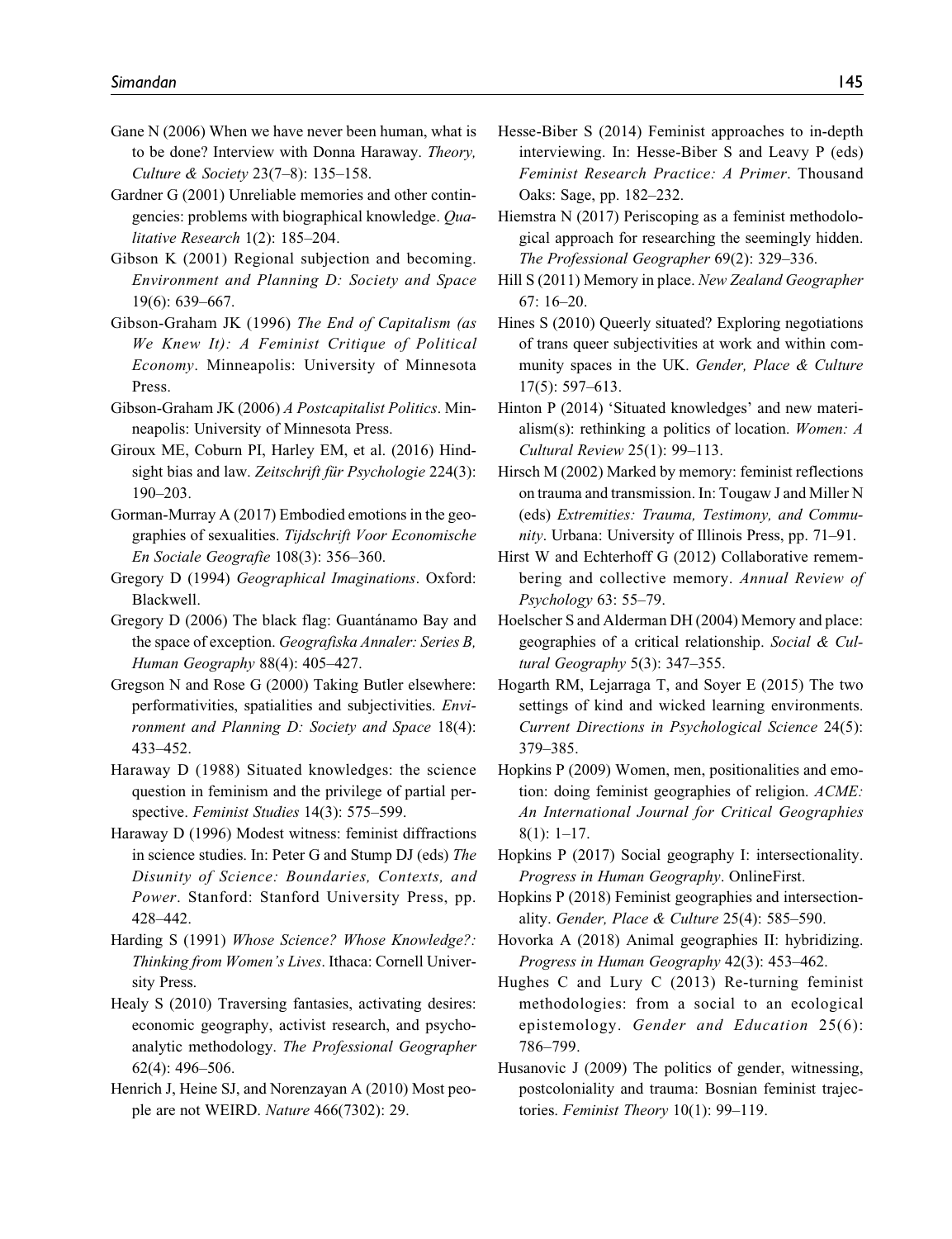- Gane N (2006) When we have never been human, what is to be done? Interview with Donna Haraway. Theory, Culture & Society 23(7–8): 135–158.
- Gardner G (2001) Unreliable memories and other contingencies: problems with biographical knowledge. Qualitative Research 1(2): 185–204.
- Gibson K (2001) Regional subjection and becoming. Environment and Planning D: Society and Space 19(6): 639–667.
- Gibson-Graham JK (1996) The End of Capitalism (as We Knew It): A Feminist Critique of Political Economy. Minneapolis: University of Minnesota Press.
- Gibson-Graham JK (2006) A Postcapitalist Politics. Minneapolis: University of Minnesota Press.
- Giroux ME, Coburn PI, Harley EM, et al. (2016) Hindsight bias and law. Zeitschrift für Psychologie 224(3): 190–203.
- Gorman-Murray A (2017) Embodied emotions in the geographies of sexualities. Tijdschrift Voor Economische En Sociale Geografie 108(3): 356–360.
- Gregory D (1994) Geographical Imaginations. Oxford: Blackwell.
- Gregory D (2006) The black flag: Guantánamo Bay and the space of exception. Geografiska Annaler: Series B, Human Geography 88(4): 405–427.
- Gregson N and Rose G (2000) Taking Butler elsewhere: performativities, spatialities and subjectivities. Environment and Planning D: Society and Space 18(4): 433–452.
- Haraway D (1988) Situated knowledges: the science question in feminism and the privilege of partial perspective. Feminist Studies 14(3): 575–599.
- Haraway D (1996) Modest witness: feminist diffractions in science studies. In: Peter G and Stump DJ (eds) The Disunity of Science: Boundaries, Contexts, and Power. Stanford: Stanford University Press, pp. 428–442.
- Harding S (1991) Whose Science? Whose Knowledge?: Thinking from Women's Lives. Ithaca: Cornell University Press.
- Healy S (2010) Traversing fantasies, activating desires: economic geography, activist research, and psychoanalytic methodology. The Professional Geographer 62(4): 496–506.
- Henrich J, Heine SJ, and Norenzayan A (2010) Most people are not WEIRD. Nature 466(7302): 29.
- Hesse-Biber S (2014) Feminist approaches to in-depth interviewing. In: Hesse-Biber S and Leavy P (eds) Feminist Research Practice: A Primer. Thousand Oaks: Sage, pp. 182–232.
- Hiemstra N (2017) Periscoping as a feminist methodological approach for researching the seemingly hidden. The Professional Geographer 69(2): 329–336.
- Hill S (2011) Memory in place. New Zealand Geographer 67: 16–20.
- Hines S (2010) Queerly situated? Exploring negotiations of trans queer subjectivities at work and within community spaces in the UK. Gender, Place & Culture 17(5): 597–613.
- Hinton P (2014) 'Situated knowledges' and new materialism(s): rethinking a politics of location. Women: A Cultural Review 25(1): 99–113.
- Hirsch M (2002) Marked by memory: feminist reflections on trauma and transmission. In: Tougaw J and Miller N (eds) Extremities: Trauma, Testimony, and Community. Urbana: University of Illinois Press, pp. 71–91.
- Hirst W and Echterhoff G (2012) Collaborative remembering and collective memory. Annual Review of Psychology 63: 55–79.
- Hoelscher S and Alderman DH (2004) Memory and place: geographies of a critical relationship. Social & Cultural Geography 5(3): 347–355.
- Hogarth RM, Lejarraga T, and Soyer E (2015) The two settings of kind and wicked learning environments. Current Directions in Psychological Science 24(5): 379–385.
- Hopkins P (2009) Women, men, positionalities and emotion: doing feminist geographies of religion. ACME: An International Journal for Critical Geographies  $8(1): 1-17.$
- Hopkins P (2017) Social geography I: intersectionality. Progress in Human Geography. OnlineFirst.
- Hopkins P (2018) Feminist geographies and intersectionality. Gender, Place & Culture 25(4): 585–590.
- Hovorka A (2018) Animal geographies II: hybridizing. Progress in Human Geography 42(3): 453–462.
- Hughes C and Lury C (2013) Re-turning feminist methodologies: from a social to an ecological epistemology. Gender and Education 25(6): 786–799.
- Husanovic J (2009) The politics of gender, witnessing, postcoloniality and trauma: Bosnian feminist trajectories. Feminist Theory 10(1): 99–119.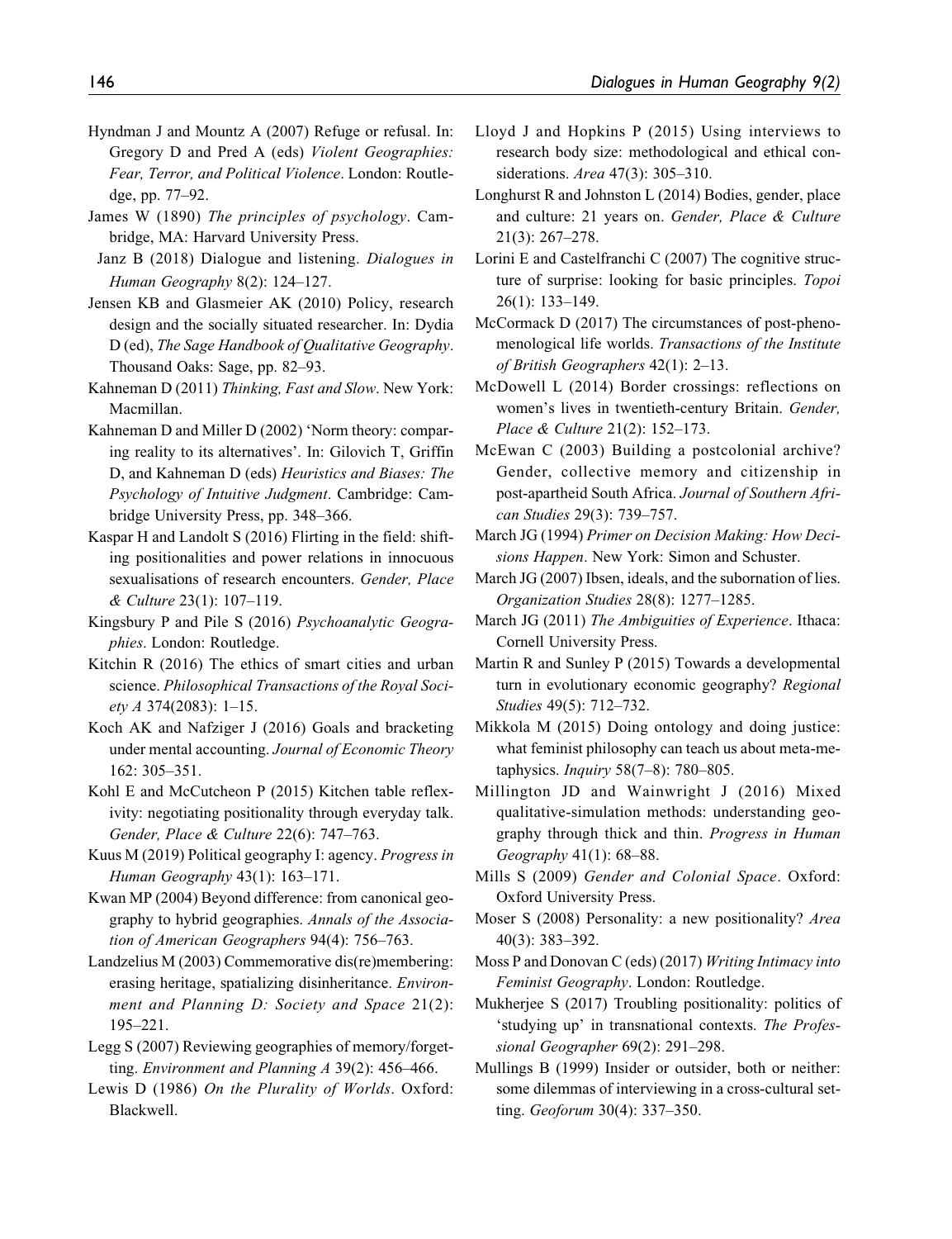- Hyndman J and Mountz A (2007) Refuge or refusal. In: Gregory D and Pred A (eds) Violent Geographies: Fear, Terror, and Political Violence. London: Routledge, pp. 77–92.
- James W (1890) The principles of psychology. Cambridge, MA: Harvard University Press.
- Janz B (2018) Dialogue and listening. Dialogues in Human Geography 8(2): 124–127.
- Jensen KB and Glasmeier AK (2010) Policy, research design and the socially situated researcher. In: Dydia D (ed), The Sage Handbook of Qualitative Geography. Thousand Oaks: Sage, pp. 82–93.
- Kahneman D (2011) Thinking, Fast and Slow. New York: Macmillan.
- Kahneman D and Miller D (2002) 'Norm theory: comparing reality to its alternatives'. In: Gilovich T, Griffin D, and Kahneman D (eds) Heuristics and Biases: The Psychology of Intuitive Judgment. Cambridge: Cambridge University Press, pp. 348–366.
- Kaspar H and Landolt S (2016) Flirting in the field: shifting positionalities and power relations in innocuous sexualisations of research encounters. Gender, Place & Culture 23(1): 107–119.
- Kingsbury P and Pile S (2016) Psychoanalytic Geographies. London: Routledge.
- Kitchin R (2016) The ethics of smart cities and urban science. Philosophical Transactions of the Royal Society A 374(2083): 1–15.
- Koch AK and Nafziger J (2016) Goals and bracketing under mental accounting. Journal of Economic Theory 162: 305–351.
- Kohl E and McCutcheon P (2015) Kitchen table reflexivity: negotiating positionality through everyday talk. Gender, Place & Culture 22(6): 747–763.
- Kuus M (2019) Political geography I: agency. Progress in Human Geography 43(1): 163–171.
- Kwan MP (2004) Beyond difference: from canonical geography to hybrid geographies. Annals of the Association of American Geographers 94(4): 756–763.
- Landzelius M (2003) Commemorative dis(re)membering: erasing heritage, spatializing disinheritance. Environment and Planning D: Society and Space 21(2): 195–221.
- Legg S (2007) Reviewing geographies of memory/forgetting. Environment and Planning A 39(2): 456–466.
- Lewis D (1986) On the Plurality of Worlds. Oxford: Blackwell.
- Lloyd J and Hopkins P (2015) Using interviews to research body size: methodological and ethical considerations. Area 47(3): 305–310.
- Longhurst R and Johnston L (2014) Bodies, gender, place and culture: 21 years on. Gender, Place & Culture 21(3): 267–278.
- Lorini E and Castelfranchi C (2007) The cognitive structure of surprise: looking for basic principles. Topoi 26(1): 133–149.
- McCormack D (2017) The circumstances of post-phenomenological life worlds. Transactions of the Institute of British Geographers 42(1): 2–13.
- McDowell L (2014) Border crossings: reflections on women's lives in twentieth-century Britain. Gender, Place & Culture 21(2): 152–173.
- McEwan C (2003) Building a postcolonial archive? Gender, collective memory and citizenship in post-apartheid South Africa. Journal of Southern African Studies 29(3): 739–757.
- March JG (1994) Primer on Decision Making: How Decisions Happen. New York: Simon and Schuster.
- March JG (2007) Ibsen, ideals, and the subornation of lies. Organization Studies 28(8): 1277–1285.
- March JG (2011) The Ambiguities of Experience. Ithaca: Cornell University Press.
- Martin R and Sunley P (2015) Towards a developmental turn in evolutionary economic geography? Regional Studies 49(5): 712–732.
- Mikkola M (2015) Doing ontology and doing justice: what feminist philosophy can teach us about meta-metaphysics. Inquiry 58(7–8): 780–805.
- Millington JD and Wainwright J (2016) Mixed qualitative-simulation methods: understanding geography through thick and thin. Progress in Human Geography 41(1): 68–88.
- Mills S (2009) Gender and Colonial Space. Oxford: Oxford University Press.
- Moser S (2008) Personality: a new positionality? Area 40(3): 383–392.
- Moss P and Donovan C (eds) (2017) Writing Intimacy into Feminist Geography. London: Routledge.
- Mukherjee S (2017) Troubling positionality: politics of 'studying up' in transnational contexts. The Professional Geographer 69(2): 291–298.
- Mullings B (1999) Insider or outsider, both or neither: some dilemmas of interviewing in a cross-cultural setting. Geoforum 30(4): 337–350.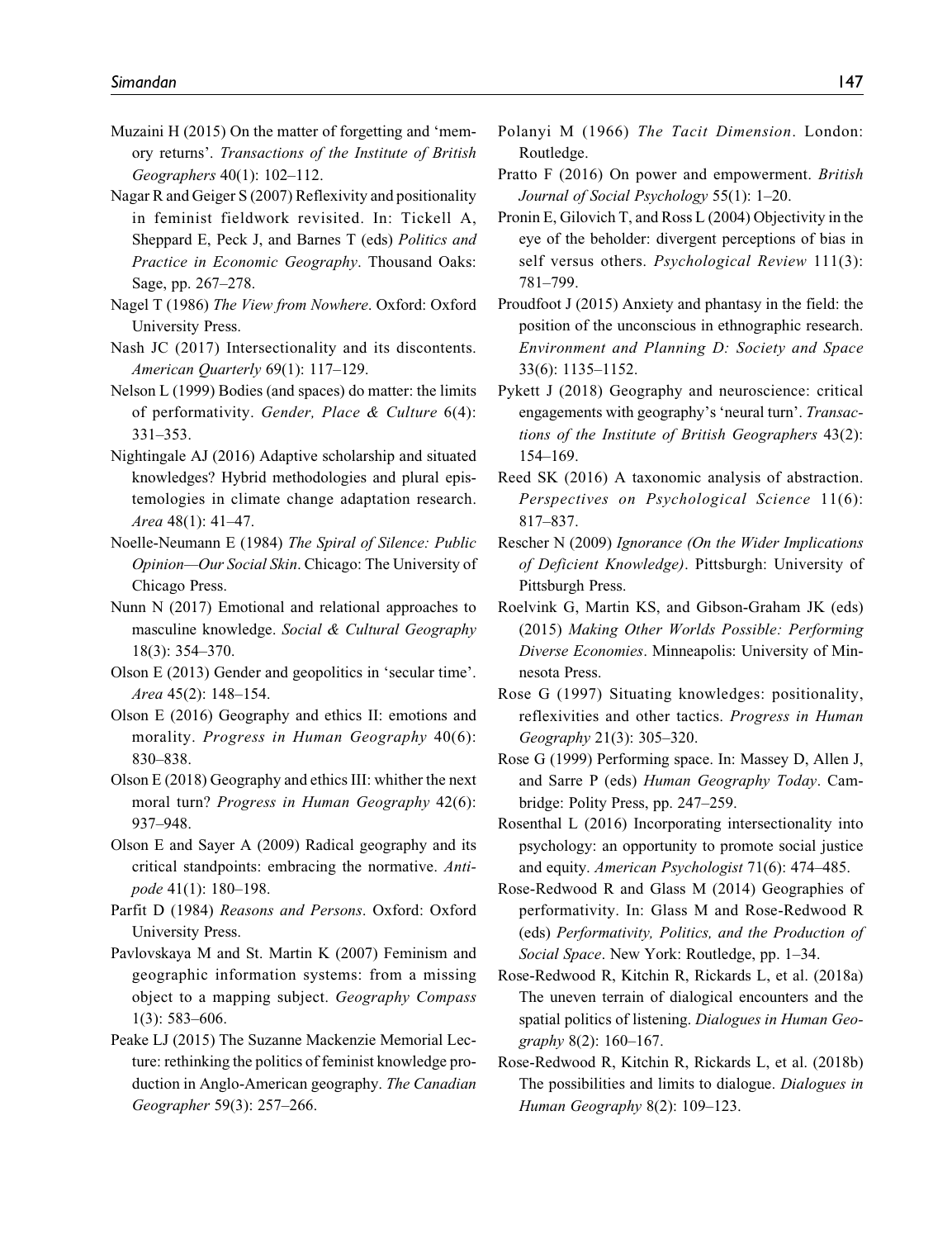- Muzaini H (2015) On the matter of forgetting and 'memory returns'. Transactions of the Institute of British Geographers 40(1): 102–112.
- Nagar R and Geiger S (2007) Reflexivity and positionality in feminist fieldwork revisited. In: Tickell A, Sheppard E, Peck J, and Barnes T (eds) Politics and Practice in Economic Geography. Thousand Oaks: Sage, pp. 267–278.
- Nagel T (1986) The View from Nowhere. Oxford: Oxford University Press.
- Nash JC (2017) Intersectionality and its discontents. American Quarterly 69(1): 117–129.
- Nelson L (1999) Bodies (and spaces) do matter: the limits of performativity. Gender, Place & Culture 6(4): 331–353.
- Nightingale AJ (2016) Adaptive scholarship and situated knowledges? Hybrid methodologies and plural epistemologies in climate change adaptation research. Area 48(1): 41–47.
- Noelle-Neumann E (1984) The Spiral of Silence: Public Opinion—Our Social Skin. Chicago: The University of Chicago Press.
- Nunn N (2017) Emotional and relational approaches to masculine knowledge. Social & Cultural Geography 18(3): 354–370.
- Olson E (2013) Gender and geopolitics in 'secular time'. Area 45(2): 148–154.
- Olson E (2016) Geography and ethics II: emotions and morality. *Progress in Human Geography* 40(6): 830–838.
- Olson E (2018) Geography and ethics III: whither the next moral turn? Progress in Human Geography 42(6): 937–948.
- Olson E and Sayer A (2009) Radical geography and its critical standpoints: embracing the normative. Antipode 41(1): 180–198.
- Parfit D (1984) Reasons and Persons. Oxford: Oxford University Press.
- Pavlovskaya M and St. Martin K (2007) Feminism and geographic information systems: from a missing object to a mapping subject. Geography Compass 1(3): 583–606.
- Peake LJ (2015) The Suzanne Mackenzie Memorial Lecture: rethinking the politics of feminist knowledge production in Anglo-American geography. The Canadian Geographer 59(3): 257–266.
- Polanyi M (1966) The Tacit Dimension. London: Routledge.
- Pratto F (2016) On power and empowerment. British Journal of Social Psychology 55(1): 1–20.
- Pronin E, Gilovich T, and Ross L (2004) Objectivity in the eye of the beholder: divergent perceptions of bias in self versus others. Psychological Review 111(3): 781–799.
- Proudfoot J (2015) Anxiety and phantasy in the field: the position of the unconscious in ethnographic research. Environment and Planning D: Society and Space 33(6): 1135–1152.
- Pykett J (2018) Geography and neuroscience: critical engagements with geography's 'neural turn'. Transactions of the Institute of British Geographers 43(2): 154–169.
- Reed SK (2016) A taxonomic analysis of abstraction. Perspectives on Psychological Science 11(6): 817–837.
- Rescher N (2009) Ignorance (On the Wider Implications of Deficient Knowledge). Pittsburgh: University of Pittsburgh Press.
- Roelvink G, Martin KS, and Gibson-Graham JK (eds) (2015) Making Other Worlds Possible: Performing Diverse Economies. Minneapolis: University of Minnesota Press.
- Rose G (1997) Situating knowledges: positionality, reflexivities and other tactics. Progress in Human Geography 21(3): 305–320.
- Rose G (1999) Performing space. In: Massey D, Allen J, and Sarre P (eds) Human Geography Today. Cambridge: Polity Press, pp. 247–259.
- Rosenthal L (2016) Incorporating intersectionality into psychology: an opportunity to promote social justice and equity. American Psychologist 71(6): 474–485.
- Rose-Redwood R and Glass M (2014) Geographies of performativity. In: Glass M and Rose-Redwood R (eds) Performativity, Politics, and the Production of Social Space. New York: Routledge, pp. 1–34.
- Rose-Redwood R, Kitchin R, Rickards L, et al. (2018a) The uneven terrain of dialogical encounters and the spatial politics of listening. Dialogues in Human Geography 8(2): 160–167.
- Rose-Redwood R, Kitchin R, Rickards L, et al. (2018b) The possibilities and limits to dialogue. Dialogues in Human Geography 8(2): 109–123.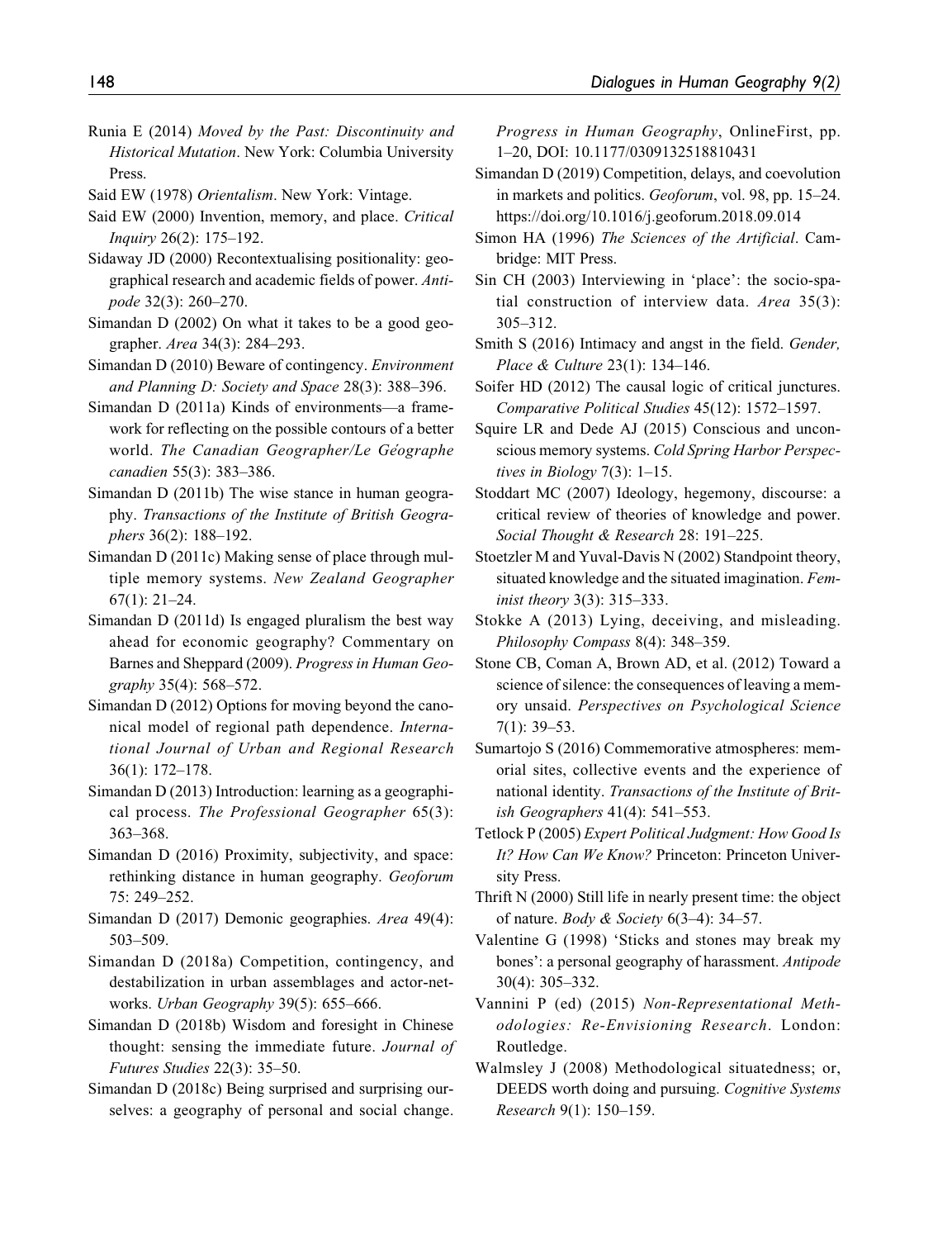- Runia E (2014) Moved by the Past: Discontinuity and Historical Mutation. New York: Columbia University Press.
- Said EW (1978) Orientalism. New York: Vintage.
- Said EW (2000) Invention, memory, and place. Critical Inquiry 26(2): 175–192.
- Sidaway JD (2000) Recontextualising positionality: geographical research and academic fields of power. Antipode 32(3): 260–270.
- Simandan D (2002) On what it takes to be a good geographer. Area 34(3): 284–293.
- Simandan D (2010) Beware of contingency. Environment and Planning D: Society and Space 28(3): 388–396.
- Simandan D (2011a) Kinds of environments—a framework for reflecting on the possible contours of a better world. The Canadian Geographer/Le Geographe canadien 55(3): 383–386.
- Simandan D (2011b) The wise stance in human geography. Transactions of the Institute of British Geographers 36(2): 188–192.
- Simandan D (2011c) Making sense of place through multiple memory systems. New Zealand Geographer 67(1): 21–24.
- Simandan D (2011d) Is engaged pluralism the best way ahead for economic geography? Commentary on Barnes and Sheppard (2009). Progress in Human Geography 35(4): 568–572.
- Simandan D (2012) Options for moving beyond the canonical model of regional path dependence. International Journal of Urban and Regional Research 36(1): 172–178.
- Simandan D (2013) Introduction: learning as a geographical process. The Professional Geographer 65(3): 363–368.
- Simandan D (2016) Proximity, subjectivity, and space: rethinking distance in human geography. Geoforum 75: 249–252.
- Simandan D (2017) Demonic geographies. Area 49(4): 503–509.
- Simandan D (2018a) Competition, contingency, and destabilization in urban assemblages and actor-networks. Urban Geography 39(5): 655–666.
- Simandan D (2018b) Wisdom and foresight in Chinese thought: sensing the immediate future. Journal of Futures Studies 22(3): 35–50.
- Simandan D (2018c) Being surprised and surprising ourselves: a geography of personal and social change.

Progress in Human Geography, OnlineFirst, pp. 1–20, DOI: 10.1177/0309132518810431

- Simandan D (2019) Competition, delays, and coevolution in markets and politics. Geoforum, vol. 98, pp. 15–24. <https://doi.org/10.1016/j.geoforum.2018.09.014>
- Simon HA (1996) The Sciences of the Artificial. Cambridge: MIT Press.
- Sin CH (2003) Interviewing in 'place': the socio-spatial construction of interview data. Area 35(3): 305–312.
- Smith S (2016) Intimacy and angst in the field. Gender, Place & Culture 23(1): 134–146.
- Soifer HD (2012) The causal logic of critical junctures. Comparative Political Studies 45(12): 1572–1597.
- Squire LR and Dede AJ (2015) Conscious and unconscious memory systems. Cold Spring Harbor Perspectives in Biology 7(3): 1–15.
- Stoddart MC (2007) Ideology, hegemony, discourse: a critical review of theories of knowledge and power. Social Thought & Research 28: 191–225.
- Stoetzler M and Yuval-Davis N (2002) Standpoint theory, situated knowledge and the situated imagination. Feminist theory 3(3): 315–333.
- Stokke A (2013) Lying, deceiving, and misleading. Philosophy Compass 8(4): 348–359.
- Stone CB, Coman A, Brown AD, et al. (2012) Toward a science of silence: the consequences of leaving a memory unsaid. Perspectives on Psychological Science 7(1): 39–53.
- Sumartojo S (2016) Commemorative atmospheres: memorial sites, collective events and the experience of national identity. Transactions of the Institute of British Geographers 41(4): 541–553.
- Tetlock P (2005) Expert Political Judgment: How Good Is It? How Can We Know? Princeton: Princeton University Press.
- Thrift N (2000) Still life in nearly present time: the object of nature. *Body & Society*  $6(3-4)$ : 34-57.
- Valentine G (1998) 'Sticks and stones may break my bones': a personal geography of harassment. Antipode 30(4): 305–332.
- Vannini P (ed) (2015) Non-Representational Methodologies: Re-Envisioning Research. London: Routledge.
- Walmsley J (2008) Methodological situatedness; or, DEEDS worth doing and pursuing. Cognitive Systems Research 9(1): 150–159.